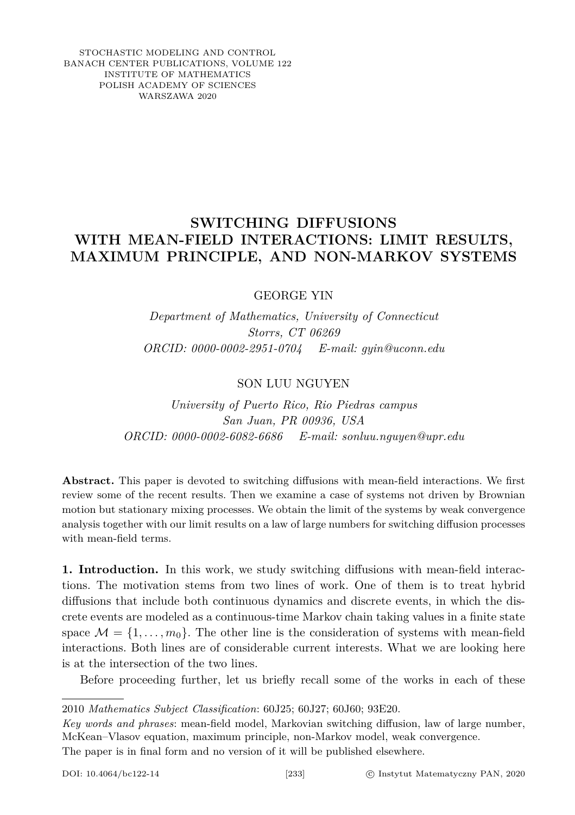STOCHASTIC MODELING AND CONTROL BANACH CENTER PUBLICATIONS, VOLUME 122 INSTITUTE OF MATHEMATICS POLISH ACADEMY OF SCIENCES WARSZAWA 2020

## **SWITCHING DIFFUSIONS WITH MEAN-FIELD INTERACTIONS: LIMIT RESULTS, MAXIMUM PRINCIPLE, AND NON-MARKOV SYSTEMS**

GEORGE YIN

*Department of Mathematics, University of Connecticut Storrs, CT 06269 ORCID: 0000-0002-2951-0704 E-mail: gyin@uconn.edu*

SON LUU NGUYEN

*University of Puerto Rico, Rio Piedras campus San Juan, PR 00936, USA ORCID: 0000-0002-6082-6686 E-mail: sonluu.nguyen@upr.edu*

**Abstract.** This paper is devoted to switching diffusions with mean-field interactions. We first review some of the recent results. Then we examine a case of systems not driven by Brownian motion but stationary mixing processes. We obtain the limit of the systems by weak convergence analysis together with our limit results on a law of large numbers for switching diffusion processes with mean-field terms.

**1. Introduction.** In this work, we study switching diffusions with mean-field interactions. The motivation stems from two lines of work. One of them is to treat hybrid diffusions that include both continuous dynamics and discrete events, in which the discrete events are modeled as a continuous-time Markov chain taking values in a finite state space  $\mathcal{M} = \{1, \ldots, m_0\}$ . The other line is the consideration of systems with mean-field interactions. Both lines are of considerable current interests. What we are looking here is at the intersection of the two lines.

Before proceeding further, let us briefly recall some of the works in each of these

2010 *Mathematics Subject Classification*: 60J25; 60J27; 60J60; 93E20.

*Key words and phrases*: mean-field model, Markovian switching diffusion, law of large number, McKean–Vlasov equation, maximum principle, non-Markov model, weak convergence.

The paper is in final form and no version of it will be published elsewhere.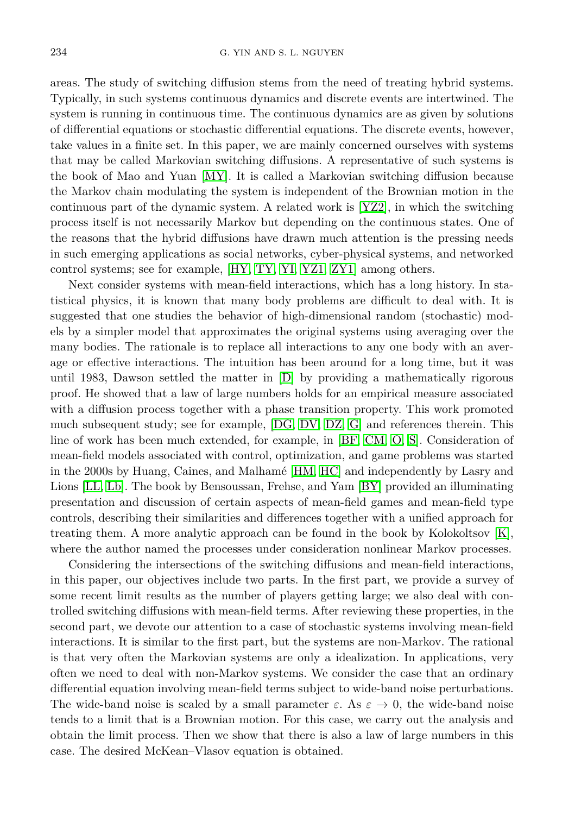areas. The study of switching diffusion stems from the need of treating hybrid systems. Typically, in such systems continuous dynamics and discrete events are intertwined. The system is running in continuous time. The continuous dynamics are as given by solutions of differential equations or stochastic differential equations. The discrete events, however, take values in a finite set. In this paper, we are mainly concerned ourselves with systems that may be called Markovian switching diffusions. A representative of such systems is the book of Mao and Yuan [\[MY\]](#page-20-0). It is called a Markovian switching diffusion because the Markov chain modulating the system is independent of the Brownian motion in the continuous part of the dynamic system. A related work is [\[YZ2\]](#page-21-0), in which the switching process itself is not necessarily Markov but depending on the continuous states. One of the reasons that the hybrid diffusions have drawn much attention is the pressing needs in such emerging applications as social networks, cyber-physical systems, and networked control systems; see for example, [\[HY,](#page-20-1) [TY,](#page-20-2) [YI,](#page-20-3) [YZ1,](#page-21-1) [ZY1\]](#page-21-2) among others.

Next consider systems with mean-field interactions, which has a long history. In statistical physics, it is known that many body problems are difficult to deal with. It is suggested that one studies the behavior of high-dimensional random (stochastic) models by a simpler model that approximates the original systems using averaging over the many bodies. The rationale is to replace all interactions to any one body with an average or effective interactions. The intuition has been around for a long time, but it was until 1983, Dawson settled the matter in [\[D\]](#page-19-0) by providing a mathematically rigorous proof. He showed that a law of large numbers holds for an empirical measure associated with a diffusion process together with a phase transition property. This work promoted much subsequent study; see for example, [\[DG,](#page-19-1) [DV,](#page-19-2) [DZ,](#page-19-3) [G\]](#page-20-4) and references therein. This line of work has been much extended, for example, in [\[BF,](#page-19-4) [CM,](#page-19-5) [O,](#page-20-5) [S\]](#page-20-6). Consideration of mean-field models associated with control, optimization, and game problems was started in the 2000s by Huang, Caines, and Malhamé [\[HM,](#page-20-7) [HC\]](#page-20-8) and independently by Lasry and Lions [\[LL,](#page-20-9) [Lb\]](#page-20-10). The book by Bensoussan, Frehse, and Yam [\[BY\]](#page-19-6) provided an illuminating presentation and discussion of certain aspects of mean-field games and mean-field type controls, describing their similarities and differences together with a unified approach for treating them. A more analytic approach can be found in the book by Kolokoltsov [\[K\]](#page-20-11), where the author named the processes under consideration nonlinear Markov processes.

Considering the intersections of the switching diffusions and mean-field interactions, in this paper, our objectives include two parts. In the first part, we provide a survey of some recent limit results as the number of players getting large; we also deal with controlled switching diffusions with mean-field terms. After reviewing these properties, in the second part, we devote our attention to a case of stochastic systems involving mean-field interactions. It is similar to the first part, but the systems are non-Markov. The rational is that very often the Markovian systems are only a idealization. In applications, very often we need to deal with non-Markov systems. We consider the case that an ordinary differential equation involving mean-field terms subject to wide-band noise perturbations. The wide-band noise is scaled by a small parameter  $\varepsilon$ . As  $\varepsilon \to 0$ , the wide-band noise tends to a limit that is a Brownian motion. For this case, we carry out the analysis and obtain the limit process. Then we show that there is also a law of large numbers in this case. The desired McKean–Vlasov equation is obtained.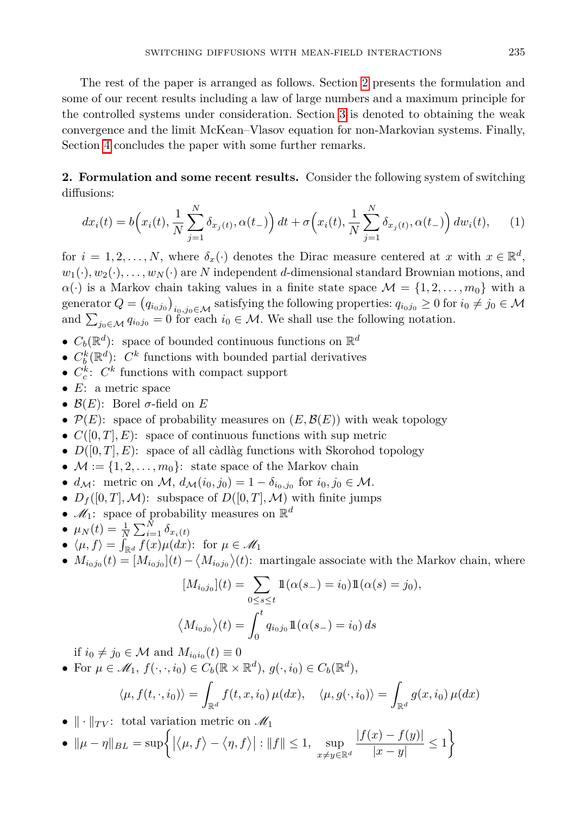The rest of the paper is arranged as follows. Section [2](#page-2-0) presents the formulation and some of our recent results including a law of large numbers and a maximum principle for the controlled systems under consideration. Section [3](#page-7-0) is denoted to obtaining the weak convergence and the limit McKean–Vlasov equation for non-Markovian systems. Finally, Section [4](#page-19-7) concludes the paper with some further remarks.

<span id="page-2-0"></span>**2. Formulation and some recent results.** Consider the following system of switching diffusions:

<span id="page-2-1"></span>
$$
dx_i(t) = b\left(x_i(t), \frac{1}{N} \sum_{j=1}^N \delta_{x_j(t)}, \alpha(t_-)\right) dt + \sigma\left(x_i(t), \frac{1}{N} \sum_{j=1}^N \delta_{x_j(t)}, \alpha(t_-)\right) dw_i(t), \quad (1)
$$

for  $i = 1, 2, ..., N$ , where  $\delta_x(\cdot)$  denotes the Dirac measure centered at *x* with  $x \in \mathbb{R}^d$ ,  $w_1(\cdot), w_2(\cdot), \ldots, w_N(\cdot)$  are *N* independent *d*-dimensional standard Brownian motions, and  $\alpha(\cdot)$  is a Markov chain taking values in a finite state space  $\mathcal{M} = \{1, 2, \ldots, m_0\}$  with a  $g$ enerator  $Q = (q_{i_0 j_0})_{i_0, j_0 \in \mathcal{M}}$  satisfying the following properties:  $q_{i_0 j_0} \ge 0$  for  $i_0 \ne j_0 \in \mathcal{M}$ and  $\sum_{j_0 \in \mathcal{M}} q_{i_0 j_0} = 0$  for each  $i_0 \in \mathcal{M}$ . We shall use the following notation.

- $C_b(\mathbb{R}^d)$ : space of bounded continuous functions on  $\mathbb{R}^d$
- $C_b^k(\mathbb{R}^d)$ :  $C^k$  functions with bounded partial derivatives
- $C_c^k$ :  $C^k$  functions with compact support
- *E*: a metric space
- $\mathcal{B}(E)$ : Borel  $\sigma$ -field on  $E$
- $P(E)$ : space of probability measures on  $(E, \mathcal{B}(E))$  with weak topology
- $C([0, T], E)$ : space of continuous functions with sup metric
- $D([0, T], E)$ : space of all càdlàg functions with Skorohod topology
- $M := \{1, 2, \ldots, m_0\}$ : state space of the Markov chain
- $d_{\mathcal{M}}$ : metric on  $\mathcal{M}, d_{\mathcal{M}}(i_0, j_0) = 1 \delta_{i_0, j_0}$  for  $i_0, j_0 \in \mathcal{M}$ .
- $D_f([0,T],\mathcal{M})$ : subspace of  $D([0,T],\mathcal{M})$  with finite jumps
- $\mathcal{M}_1$ : space of probability measures on  $\mathbb{R}^d$
- $\mu_N(t) = \frac{1}{N} \sum_{i=1}^N \delta_{x_i(t)}$
- $\langle \mu, f \rangle = \int_{\mathbb{R}^d} f(x) \mu(dx)$ : for  $\mu \in \mathcal{M}_1$
- $M_{i_0 j_0}(t) = [M_{i_0 j_0}](t) \langle M_{i_0 j_0} \rangle(t)$ : martingale associate with the Markov chain, where

$$
[M_{i_0j_0}](t) = \sum_{0 \le s \le t} 1\!\!1(\alpha(s_-) = i_0)1\!\!1(\alpha(s) = j_0),
$$
  

$$
\langle M_{i_0j_0} \rangle(t) = \int_0^t q_{i_0j_0}1\!\!1(\alpha(s_-) = i_0) ds
$$

if  $i_0 \neq j_0 \in \mathcal{M}$  and  $M_{i_0 i_0}(t) \equiv 0$ 

• For 
$$
\mu \in \mathcal{M}_1
$$
,  $f(\cdot, \cdot, i_0) \in C_b(\mathbb{R} \times \mathbb{R}^d)$ ,  $g(\cdot, i_0) \in C_b(\mathbb{R}^d)$ ,

$$
\langle \mu, f(t, \cdot, i_0) \rangle = \int_{\mathbb{R}^d} f(t, x, i_0) \, \mu(dx), \quad \langle \mu, g(\cdot, i_0) \rangle = \int_{\mathbb{R}^d} g(x, i_0) \, \mu(dx)
$$

- $\|\cdot\|_{TV}$ : total variation metric on  $\mathscr{M}_1$
- $\|\mu \eta\|_{BL} = \sup \left\{ |\langle \mu, f \rangle \langle \eta, f \rangle| : \|f\| \leq 1, \sup_{\pi \to \infty} \right\}$  $x\neq y\in\mathbb{R}^d$  $|f(x) - f(y)|$  $\frac{|x)-f(y)|}{|x-y|} \leq 1 \bigg\}$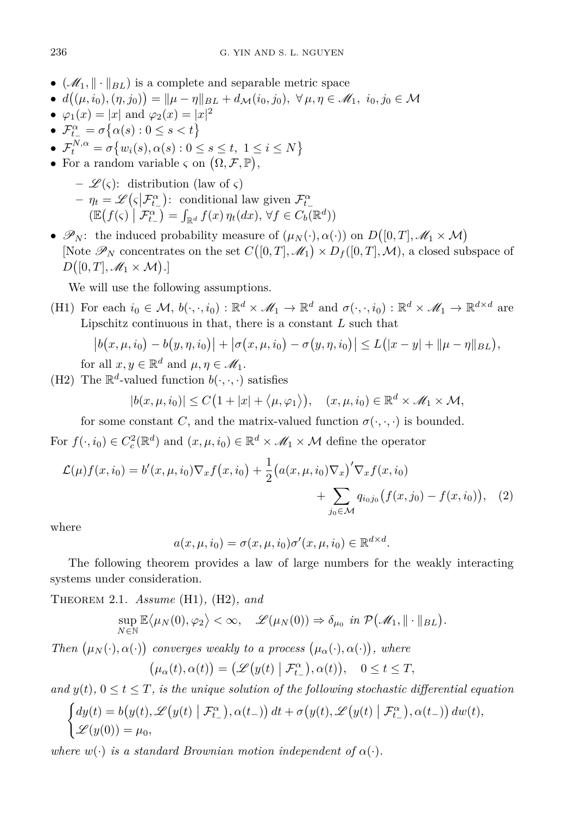- $(\mathcal{M}_1, \|\cdot\|_{BL})$  is a complete and separable metric space
- $\bullet$  *d*((*μ*, *i*<sub>0</sub>), (*η*, *j*<sub>0</sub>)) =  $\|\mu \eta\|_{BL} + d_{\mathcal{M}}(i_0, j_0), \forall \mu, \eta \in \mathcal{M}_1, i_0, j_0 \in \mathcal{M}_2$
- $\varphi_1(x) = |x|$  and  $\varphi_2(x) = |x|^2$
- $\bullet$   $\mathcal{F}_{t_-}^{\alpha} = \sigma \{ \alpha(s) : 0 \le s < t \}$
- $\bullet$   $\mathcal{F}_t^{N,\alpha} = \sigma\{w_i(s), \alpha(s) : 0 \le s \le t, 1 \le i \le N\}$
- For a random variable  $\varsigma$  on  $(\Omega, \mathcal{F}, \mathbb{P}),$ 
	- $-\mathscr{L}(\varsigma)$ : distribution (law of  $\varsigma$ )  $-\eta_t = \mathscr{L}(\varsigma | \mathcal{F}^{\alpha}_{t-})$ : conditional law given  $\mathcal{F}^{\alpha}_{t-}$  $\mathbb{E}\left(f(\varsigma)\mid \mathcal{F}_{t-}^{\alpha}\right) = \int_{\mathbb{R}^d} f(x) \, \eta_t(dx), \, \forall f \in C_b(\mathbb{R}^d)$
- $\mathscr{P}_N$ : the induced probability measure of  $(\mu_N(\cdot), \alpha(\cdot))$  on  $D([0, T], \mathscr{M}_1 \times \mathcal{M})$ [Note  $\mathscr{P}_N$  concentrates on the set  $C([0,T], \mathscr{M}_1) \times D_f([0,T], \mathcal{M})$ , a closed subspace of  $D([0,T],\mathscr{M}_1\times\mathcal{M}).$

We will use the following assumptions.

(H1) For each  $i_0 \in \mathcal{M}, b(\cdot, \cdot, i_0) : \mathbb{R}^d \times \mathcal{M}_1 \to \mathbb{R}^d$  and  $\sigma(\cdot, \cdot, i_0) : \mathbb{R}^d \times \mathcal{M}_1 \to \mathbb{R}^{d \times d}$  are Lipschitz continuous in that, there is a constant *L* such that

$$
|b(x, \mu, i_0) - b(y, \eta, i_0)| + |\sigma(x, \mu, i_0) - \sigma(y, \eta, i_0)| \le L(|x - y| + ||\mu - \eta||_{BL}),
$$

for all  $x, y \in \mathbb{R}^d$  and  $\mu, \eta \in \mathcal{M}_1$ .

(H2) The  $\mathbb{R}^d$ -valued function  $b(\cdot, \cdot, \cdot)$  satisfies

$$
|b(x, \mu, i_0)| \le C\big(1+|x|+\langle \mu, \varphi_1 \rangle\big), \quad (x, \mu, i_0) \in \mathbb{R}^d \times \mathscr{M}_1 \times \mathcal{M},
$$

for some constant *C*, and the matrix-valued function  $\sigma(\cdot, \cdot, \cdot)$  is bounded.

For  $f(\cdot, i_0) \in C_c^2(\mathbb{R}^d)$  and  $(x, \mu, i_0) \in \mathbb{R}^d \times \mathcal{M}_1 \times \mathcal{M}$  define the operator

$$
\mathcal{L}(\mu)f(x,i_0) = b'(x,\mu,i_0)\nabla_x f(x,i_0) + \frac{1}{2} \big(a(x,\mu,i_0)\nabla_x\big)'\nabla_x f(x,i_0) + \sum_{j_0 \in \mathcal{M}} q_{i_0j_0} \big(f(x,j_0) - f(x,i_0)\big), \quad (2)
$$

where

$$
a(x, \mu, i_0) = \sigma(x, \mu, i_0) \sigma'(x, \mu, i_0) \in \mathbb{R}^{d \times d}.
$$

The following theorem provides a law of large numbers for the weakly interacting systems under consideration.

Theorem 2.1. *Assume* (H1)*,* (H2)*, and*

$$
\sup_{N \in \mathbb{N}} \mathbb{E} \langle \mu_N(0), \varphi_2 \rangle < \infty, \quad \mathscr{L}(\mu_N(0)) \Rightarrow \delta_{\mu_0} \text{ in } \mathcal{P}(\mathscr{M}_1, \|\cdot\|_{BL}).
$$

*Then*  $(\mu_N(\cdot), \alpha(\cdot))$  converges weakly to a process  $(\mu_\alpha(\cdot), \alpha(\cdot))$ , where

$$
(\mu_{\alpha}(t), \alpha(t)) = (\mathscr{L}(y(t) \mid \mathcal{F}_{t_{-}}^{\alpha}), \alpha(t)), \quad 0 \le t \le T,
$$

*and*  $y(t)$ ,  $0 \le t \le T$ , *is the unique solution of the following stochastic differential equation* 

$$
\begin{cases} dy(t) = b(y(t), \mathscr{L}(y(t) | \mathcal{F}_{t-}^{\alpha}), \alpha(t_{-})) dt + \sigma(y(t), \mathscr{L}(y(t) | \mathcal{F}_{t_{-}}^{\alpha}), \alpha(t_{-})) dw(t), \\ \mathscr{L}(y(0)) = \mu_{0}, \end{cases}
$$

*where*  $w(\cdot)$  *is a standard Brownian motion independent of*  $\alpha(\cdot)$ *.*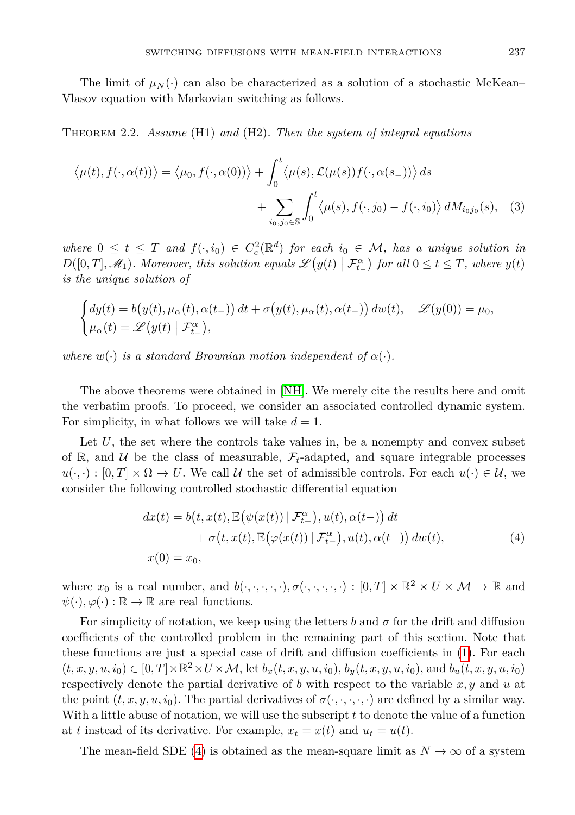The limit of  $\mu_N(\cdot)$  can also be characterized as a solution of a stochastic McKean– Vlasov equation with Markovian switching as follows.

<span id="page-4-1"></span>Theorem 2.2. *Assume* (H1) *and* (H2)*. Then the system of integral equations*

$$
\langle \mu(t), f(\cdot, \alpha(t)) \rangle = \langle \mu_0, f(\cdot, \alpha(0)) \rangle + \int_0^t \langle \mu(s), \mathcal{L}(\mu(s)) f(\cdot, \alpha(s_-)) \rangle ds
$$

$$
+ \sum_{i_0, j_0 \in \mathbb{S}} \int_0^t \langle \mu(s), f(\cdot, j_0) - f(\cdot, i_0) \rangle dM_{i_0 j_0}(s), \quad (3)
$$

 $where 0 \leq t \leq T$  and  $f(\cdot, i_0) \in C_c^2(\mathbb{R}^d)$  for each  $i_0 \in \mathcal{M}$ , has a unique solution in  $D([0, T], \mathcal{M}_1)$ . Moreover, this solution equals  $\mathscr{L}(y(t) | \mathcal{F}_{t-}^{\alpha})$  for all  $0 \le t \le T$ , where  $y(t)$ *is the unique solution of*

$$
\begin{cases} dy(t) = b(y(t), \mu_{\alpha}(t), \alpha(t_{-})) dt + \sigma(y(t), \mu_{\alpha}(t), \alpha(t_{-})) dw(t), \quad \mathcal{L}(y(0)) = \mu_{0}, \\ \mu_{\alpha}(t) = \mathcal{L}(y(t) | \mathcal{F}_{t_{-}}^{\alpha}), \end{cases}
$$

*where*  $w(\cdot)$  *is a standard Brownian motion independent of*  $\alpha(\cdot)$ *.* 

The above theorems were obtained in [\[NH\]](#page-20-12). We merely cite the results here and omit the verbatim proofs. To proceed, we consider an associated controlled dynamic system. For simplicity, in what follows we will take  $d = 1$ .

Let U, the set where the controls take values in, be a nonempty and convex subset of R, and U be the class of measurable,  $\mathcal{F}_t$ -adapted, and square integrable processes  $u(\cdot, \cdot): [0, T] \times \Omega \to U$ . We call U the set of admissible controls. For each  $u(\cdot) \in U$ , we consider the following controlled stochastic differential equation

<span id="page-4-0"></span>
$$
dx(t) = b(t, x(t), \mathbb{E}(\psi(x(t)) | \mathcal{F}_{t-}^{\alpha}), u(t), \alpha(t-)) dt + \sigma(t, x(t), \mathbb{E}(\varphi(x(t)) | \mathcal{F}_{t-}^{\alpha}), u(t), \alpha(t-)) dw(t), x(0) = x_0,
$$
 (4)

where  $x_0$  is a real number, and  $b(\cdot, \cdot, \cdot, \cdot, \cdot), \sigma(\cdot, \cdot, \cdot, \cdot) : [0, T] \times \mathbb{R}^2 \times U \times \mathcal{M} \to \mathbb{R}$  and  $\psi(\cdot), \varphi(\cdot) : \mathbb{R} \to \mathbb{R}$  are real functions.

For simplicity of notation, we keep using the letters *b* and  $\sigma$  for the drift and diffusion coefficients of the controlled problem in the remaining part of this section. Note that these functions are just a special case of drift and diffusion coefficients in [\(1\)](#page-2-1). For each  $(t, x, y, u, i_0) \in [0, T] \times \mathbb{R}^2 \times U \times \mathcal{M}$ , let  $b_x(t, x, y, u, i_0)$ ,  $b_y(t, x, y, u, i_0)$ , and  $b_u(t, x, y, u, i_0)$ respectively denote the partial derivative of *b* with respect to the variable *x, y* and *u* at the point  $(t, x, y, u, i_0)$ . The partial derivatives of  $\sigma(\cdot, \cdot, \cdot, \cdot)$  are defined by a similar way. With a little abuse of notation, we will use the subscript *t* to denote the value of a function at *t* instead of its derivative. For example,  $x_t = x(t)$  and  $u_t = u(t)$ .

The mean-field SDE [\(4\)](#page-4-0) is obtained as the mean-square limit as  $N \to \infty$  of a system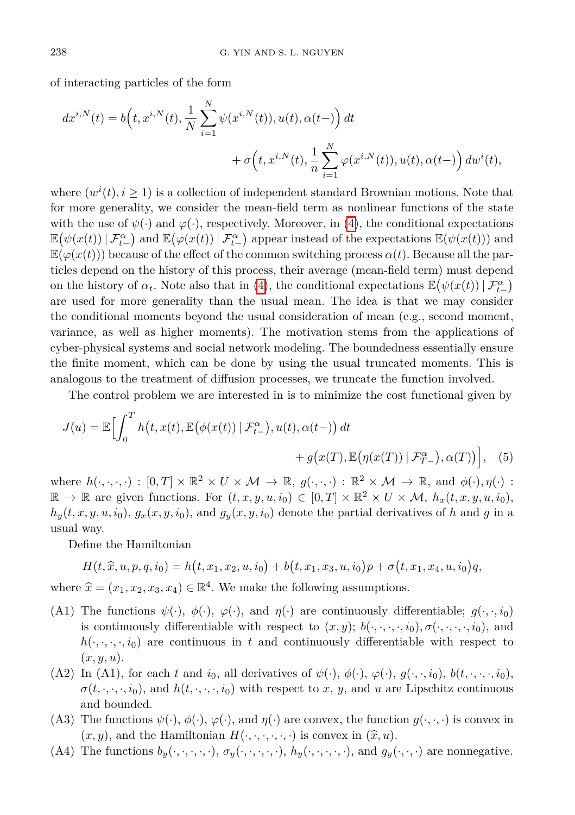of interacting particles of the form

$$
dx^{i,N}(t) = b(t, x^{i,N}(t), \frac{1}{N} \sum_{i=1}^{N} \psi(x^{i,N}(t)), u(t), \alpha(t-)) dt + \sigma(t, x^{i,N}(t), \frac{1}{n} \sum_{i=1}^{N} \varphi(x^{i,N}(t)), u(t), \alpha(t-)) dw^{i}(t),
$$

where  $(w^{i}(t), i \geq 1)$  is a collection of independent standard Brownian motions. Note that for more generality, we consider the mean-field term as nonlinear functions of the state with the use of  $\psi(\cdot)$  and  $\varphi(\cdot)$ , respectively. Moreover, in [\(4\)](#page-4-0), the conditional expectations  $\mathbb{E}(\psi(x(t)) | \mathcal{F}_{t-}^{\alpha})$  and  $\mathbb{E}(\varphi(x(t)) | \mathcal{F}_{t-}^{\alpha})$  appear instead of the expectations  $\mathbb{E}(\psi(x(t)))$  and  $\mathbb{E}(\varphi(x(t)))$  because of the effect of the common switching process  $\alpha(t)$ . Because all the particles depend on the history of this process, their average (mean-field term) must depend on the history of  $\alpha_t$ . Note also that in [\(4\)](#page-4-0), the conditional expectations  $\mathbb{E}(\psi(x(t)) | \mathcal{F}^{\alpha}_{t-})$ are used for more generality than the usual mean. The idea is that we may consider the conditional moments beyond the usual consideration of mean (e.g., second moment, variance, as well as higher moments). The motivation stems from the applications of cyber-physical systems and social network modeling. The boundedness essentially ensure the finite moment, which can be done by using the usual truncated moments. This is analogous to the treatment of diffusion processes, we truncate the function involved.

The control problem we are interested in is to minimize the cost functional given by

$$
J(u) = \mathbb{E}\Big[\int_0^T h\big(t, x(t), \mathbb{E}\big(\phi(x(t)) \mid \mathcal{F}^\alpha_{t-}\big), u(t), \alpha(t-) \big) dt + g\big(x(T), \mathbb{E}\big(\eta(x(T)) \mid \mathcal{F}^\alpha_{T-}\big), \alpha(T)\big) \Big], \quad (5)
$$

where  $h(\cdot, \cdot, \cdot, \cdot) : [0, T] \times \mathbb{R}^2 \times U \times \mathcal{M} \to \mathbb{R}, g(\cdot, \cdot, \cdot) : \mathbb{R}^2 \times \mathcal{M} \to \mathbb{R}, \text{ and } \phi(\cdot), \eta(\cdot)$ :  $\mathbb{R} \to \mathbb{R}$  are given functions. For  $(t, x, y, u, i_0) \in [0, T] \times \mathbb{R}^2 \times U \times \mathcal{M}$ ,  $h_x(t, x, y, u, i_0)$ ,  $h_y(t, x, y, u, i_0)$ ,  $g_x(x, y, i_0)$ , and  $g_y(x, y, i_0)$  denote the partial derivatives of *h* and *g* in a usual way.

Define the Hamiltonian

$$
H(t, \hat{x}, u, p, q, i_0) = h(t, x_1, x_2, u, i_0) + b(t, x_1, x_3, u, i_0)p + \sigma(t, x_1, x_4, u, i_0)q,
$$

where  $\hat{x} = (x_1, x_2, x_3, x_4) \in \mathbb{R}^4$ . We make the following assumptions.

- (A1) The functions  $\psi(\cdot), \phi(\cdot), \varphi(\cdot)$ , and  $\eta(\cdot)$  are continuously differentiable;  $g(\cdot, \cdot, i_0)$ is continuously differentiable with respect to  $(x, y)$ ;  $b(\cdot, \cdot, \cdot, \cdot, i_0)$ ,  $\sigma(\cdot, \cdot, \cdot, \cdot, i_0)$ , and  $h(\cdot, \cdot, \cdot, i_0)$  are continuous in *t* and continuously differentiable with respect to (*x, y, u*).
- (A2) In (A1), for each *t* and  $i_0$ , all derivatives of  $\psi(\cdot), \phi(\cdot), \varphi(\cdot), g(\cdot, \cdot, i_0), b(t, \cdot, \cdot, \cdot, i_0)$  $\sigma(t, \cdot, \cdot, \cdot, i_0)$ , and  $h(t, \cdot, \cdot, \cdot, i_0)$  with respect to *x*, *y*, and *u* are Lipschitz continuous and bounded.
- (A3) The functions  $\psi(\cdot), \phi(\cdot), \varphi(\cdot)$ , and  $\eta(\cdot)$  are convex, the function  $g(\cdot, \cdot, \cdot)$  is convex in  $(x, y)$ , and the Hamiltonian  $H(\cdot, \cdot, \cdot, \cdot, \cdot, \cdot)$  is convex in  $(\hat{x}, u)$ .
- (A4) The functions  $b_y(\cdot,\cdot,\cdot,\cdot,\cdot), \sigma_y(\cdot,\cdot,\cdot,\cdot,\cdot), h_y(\cdot,\cdot,\cdot,\cdot,\cdot)$ , and  $g_y(\cdot,\cdot,\cdot)$  are nonnegative.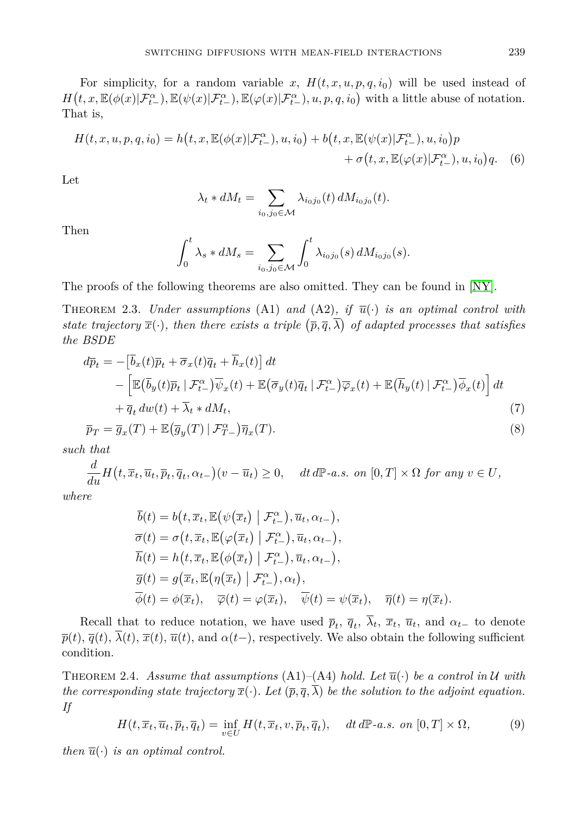For simplicity, for a random variable x,  $H(t, x, u, p, q, i_0)$  will be used instead of  $H(t, x, \mathbb{E}(\phi(x)|\mathcal{F}^{\alpha}_{t-}), \mathbb{E}(\psi(x)|\mathcal{F}^{\alpha}_{t-}), \mathbb{E}(\varphi(x)|\mathcal{F}^{\alpha}_{t-}), u, p, q, i_0)$  with a little abuse of notation. That is,

$$
H(t, x, u, p, q, i_0) = h(t, x, \mathbb{E}(\phi(x)|\mathcal{F}_{t-}^{\alpha}), u, i_0) + b(t, x, \mathbb{E}(\psi(x)|\mathcal{F}_{t-}^{\alpha}), u, i_0)p + \sigma(t, x, \mathbb{E}(\phi(x)|\mathcal{F}_{t-}^{\alpha}), u, i_0)q.
$$
 (6)

Let

$$
\lambda_t * dM_t = \sum_{i_0, j_0 \in \mathcal{M}} \lambda_{i_0 j_0}(t) dM_{i_0 j_0}(t).
$$

Then

$$
\int_0^t \lambda_s * dM_s = \sum_{i_0, j_0 \in \mathcal{M}} \int_0^t \lambda_{i_0 j_0}(s) dM_{i_0 j_0}(s).
$$

The proofs of the following theorems are also omitted. They can be found in [\[NY\]](#page-20-13).

THEOREM 2.3. *Under assumptions* (A1) and (A2), if  $\overline{u}(\cdot)$  *is an optimal control with state trajectory*  $\overline{x}(\cdot)$ *, then there exists a triple*  $(\overline{p}, \overline{q}, \overline{\lambda})$  *of adapted processes that satisfies the BSDE*

$$
d\overline{p}_t = -[\overline{b}_x(t)\overline{p}_t + \overline{\sigma}_x(t)\overline{q}_t + \overline{h}_x(t)] dt - [\mathbb{E}(\overline{b}_y(t)\overline{p}_t | \mathcal{F}^{\alpha}_{t-})\overline{\psi}_x(t) + \mathbb{E}(\overline{\sigma}_y(t)\overline{q}_t | \mathcal{F}^{\alpha}_{t-})\overline{\varphi}_x(t) + \mathbb{E}(\overline{h}_y(t) | \mathcal{F}^{\alpha}_{t-})\overline{\phi}_x(t)] dt + \overline{q}_t dw(t) + \overline{\lambda}_t * dM_t,
$$
\n(7)

$$
\overline{p}_T = \overline{g}_x(T) + \mathbb{E}(\overline{g}_y(T) | \mathcal{F}^{\alpha}_{T-}) \overline{\eta}_x(T). \tag{8}
$$

*such that*

 $\frac{d}{du}H(t,\overline{x}_t,\overline{u}_t,\overline{p}_t,\overline{q}_t,\alpha_{t-})(v-\overline{u}_t)\geq 0$ , dt dP-a.s. on  $[0,T]\times\Omega$  for any  $v\in U$ ,

*where*

$$
\overline{b}(t) = b(t, \overline{x}_t, \mathbb{E}(\psi(\overline{x}_t) | \mathcal{F}_{t-}^{\alpha}), \overline{u}_t, \alpha_{t-}),
$$
  
\n
$$
\overline{\sigma}(t) = \sigma(t, \overline{x}_t, \mathbb{E}(\varphi(\overline{x}_t) | \mathcal{F}_{t-}^{\alpha}), \overline{u}_t, \alpha_{t-}),
$$
  
\n
$$
\overline{h}(t) = h(t, \overline{x}_t, \mathbb{E}(\phi(\overline{x}_t) | \mathcal{F}_{t-}^{\alpha}), \overline{u}_t, \alpha_{t-}),
$$
  
\n
$$
\overline{g}(t) = g(\overline{x}_t, \mathbb{E}(\eta(\overline{x}_t) | \mathcal{F}_{t-}^{\alpha}), \alpha_t),
$$
  
\n
$$
\overline{\phi}(t) = \phi(\overline{x}_t), \quad \overline{\varphi}(t) = \varphi(\overline{x}_t), \quad \overline{\psi}(t) = \psi(\overline{x}_t), \quad \overline{\eta}(t) = \eta(\overline{x}_t).
$$

Recall that to reduce notation, we have used  $\bar{p}_t$ ,  $\bar{q}_t$ ,  $\lambda_t$ ,  $\bar{x}_t$ ,  $\bar{u}_t$ , and  $\alpha_{t-}$  to denote  $\bar{p}(t)$ ,  $\bar{q}(t)$ ,  $\bar{\lambda}(t)$ ,  $\bar{x}(t)$ ,  $\bar{u}(t)$ , and  $\alpha(t-)$ , respectively. We also obtain the following sufficient condition.

THEOREM 2.4. Assume that assumptions  $(A1)$ – $(A4)$  hold. Let  $\overline{u}(\cdot)$  be a control in U with *the corresponding state trajectory*  $\overline{x}(\cdot)$ *. Let*  $(\overline{p}, \overline{q}, \overline{\lambda})$  *be the solution to the adjoint equation. If*

$$
H(t, \overline{x}_t, \overline{u}_t, \overline{p}_t, \overline{q}_t) = \inf_{v \in U} H(t, \overline{x}_t, v, \overline{p}_t, \overline{q}_t), \quad dt \, d\mathbb{P}\text{-}a.s. \text{ on } [0, T] \times \Omega,
$$
 (9)

*then*  $\overline{u}(\cdot)$  *is an optimal control.*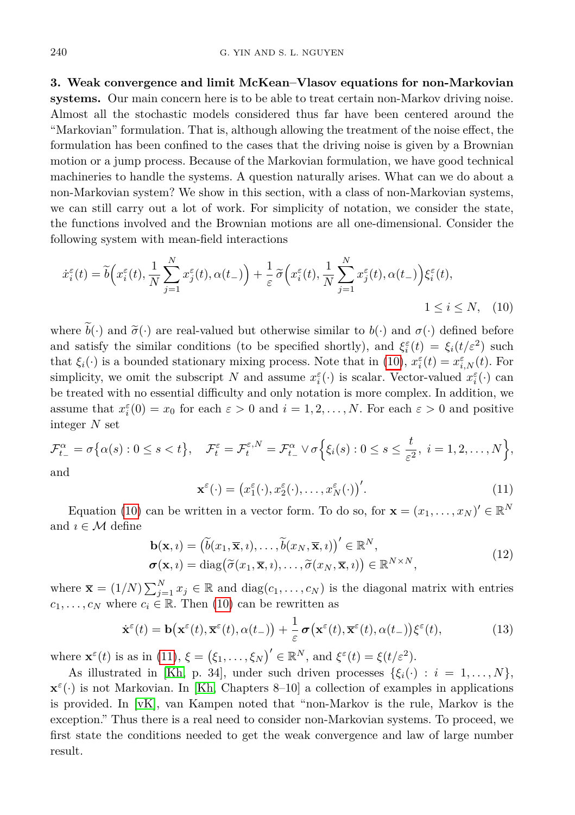<span id="page-7-0"></span>**3. Weak convergence and limit McKean–Vlasov equations for non-Markovian systems.** Our main concern here is to be able to treat certain non-Markov driving noise. Almost all the stochastic models considered thus far have been centered around the "Markovian" formulation. That is, although allowing the treatment of the noise effect, the formulation has been confined to the cases that the driving noise is given by a Brownian motion or a jump process. Because of the Markovian formulation, we have good technical machineries to handle the systems. A question naturally arises. What can we do about a non-Markovian system? We show in this section, with a class of non-Markovian systems, we can still carry out a lot of work. For simplicity of notation, we consider the state, the functions involved and the Brownian motions are all one-dimensional. Consider the following system with mean-field interactions

$$
\dot{x}_{i}^{\varepsilon}(t) = \tilde{b}\Big(x_{i}^{\varepsilon}(t), \frac{1}{N} \sum_{j=1}^{N} x_{j}^{\varepsilon}(t), \alpha(t_{-})\Big) + \frac{1}{\varepsilon} \tilde{\sigma}\Big(x_{i}^{\varepsilon}(t), \frac{1}{N} \sum_{j=1}^{N} x_{j}^{\varepsilon}(t), \alpha(t_{-})\Big) \xi_{i}^{\varepsilon}(t),
$$
  

$$
1 \leq i \leq N, \quad (10)
$$

where  $b(\cdot)$  and  $\tilde{\sigma}(\cdot)$  are real-valued but otherwise similar to  $b(\cdot)$  and  $\sigma(\cdot)$  defined before and satisfy the similar conditions (to be specified shortly), and  $\xi_i^{\varepsilon}(t) = \xi_i(t/\varepsilon^2)$  such that  $\xi_i(\cdot)$  is a bounded stationary mixing process. Note that in [\(10\)](#page-7-1),  $x_i^{\varepsilon}(t) = x_{i,N}^{\varepsilon}(t)$ . For simplicity, we omit the subscript *N* and assume  $x_i^{\varepsilon}(\cdot)$  is scalar. Vector-valued  $x_i^{\varepsilon}(\cdot)$  can be treated with no essential difficulty and only notation is more complex. In addition, we assume that  $x_i^{\varepsilon}(0) = x_0$  for each  $\varepsilon > 0$  and  $i = 1, 2, ..., N$ . For each  $\varepsilon > 0$  and positive integer *N* set

$$
\mathcal{F}_{t-}^{\alpha} = \sigma \big\{ \alpha(s) : 0 \le s < t \big\}, \quad \mathcal{F}_{t}^{\varepsilon} = \mathcal{F}_{t}^{\varepsilon, N} = \mathcal{F}_{t-}^{\alpha} \vee \sigma \Big\{ \xi_{i}(s) : 0 \le s \le \frac{t}{\varepsilon^{2}}, \ i = 1, 2, \dots, N \Big\},\
$$

<span id="page-7-2"></span>and

<span id="page-7-1"></span>
$$
\mathbf{x}^{\varepsilon}(\cdot) = \left(x_1^{\varepsilon}(\cdot), x_2^{\varepsilon}(\cdot), \dots, x_N^{\varepsilon}(\cdot)\right)'.
$$
 (11)

Equation [\(10\)](#page-7-1) can be written in a vector form. To do so, for  $\mathbf{x} = (x_1, \dots, x_N)^{\prime} \in \mathbb{R}^N$ and  $\imath \in \mathcal{M}$  define

$$
\mathbf{b}(\mathbf{x}, i) = (\tilde{b}(x_1, \overline{\mathbf{x}}, i), \dots, \tilde{b}(x_N, \overline{\mathbf{x}}, i))' \in \mathbb{R}^N, \n\sigma(\mathbf{x}, i) = \text{diag}(\tilde{\sigma}(x_1, \overline{\mathbf{x}}, i), \dots, \tilde{\sigma}(x_N, \overline{\mathbf{x}}, i)) \in \mathbb{R}^{N \times N},
$$
\n(12)

where  $\bar{\mathbf{x}} = (1/N) \sum_{j=1}^{N} x_j \in \mathbb{R}$  and  $\text{diag}(c_1, \ldots, c_N)$  is the diagonal matrix with entries  $c_1, \ldots, c_N$  where  $c_i \in \mathbb{R}$ . Then [\(10\)](#page-7-1) can be rewritten as

$$
\dot{\mathbf{x}}^{\varepsilon}(t) = \mathbf{b}\big(\mathbf{x}^{\varepsilon}(t), \overline{\mathbf{x}}^{\varepsilon}(t), \alpha(t_{-})\big) + \frac{1}{\varepsilon} \boldsymbol{\sigma}\big(\mathbf{x}^{\varepsilon}(t), \overline{\mathbf{x}}^{\varepsilon}(t), \alpha(t_{-})\big)\xi^{\varepsilon}(t),
$$
\n(13)

where  $\mathbf{x}^{\varepsilon}(t)$  is as in [\(11\)](#page-7-2),  $\xi = (\xi_1, \ldots, \xi_N)' \in \mathbb{R}^N$ , and  $\xi^{\varepsilon}(t) = \xi(t/\varepsilon^2)$ .

As illustrated in [\[Kh,](#page-20-14) p. 34], under such driven processes  $\{\xi_i(\cdot) : i = 1, \ldots, N\},\$  $\mathbf{x}^{\varepsilon}(\cdot)$  is not Markovian. In [\[Kh,](#page-20-14) Chapters 8–10] a collection of examples in applications is provided. In [\[vK\]](#page-20-15), van Kampen noted that "non-Markov is the rule, Markov is the exception." Thus there is a real need to consider non-Markovian systems. To proceed, we first state the conditions needed to get the weak convergence and law of large number result.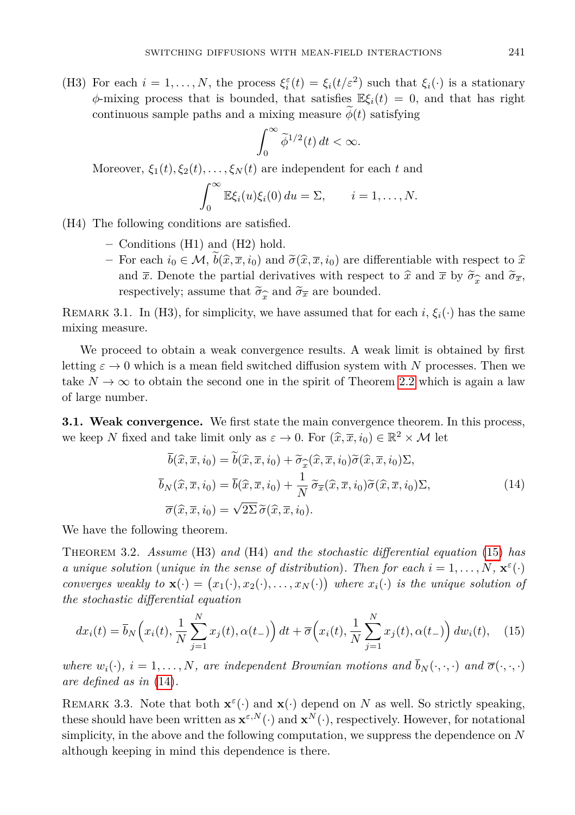(H3) For each  $i = 1, ..., N$ , the process  $\xi_i^{\varepsilon}(t) = \xi_i(t/\varepsilon^2)$  such that  $\xi_i(\cdot)$  is a stationary  $\phi$ -mixing process that is bounded, that satisfies  $\mathbb{E}\xi_i(t) = 0$ , and that has right continuous sample paths and a mixing measure  $\phi(t)$  satisfying

$$
\int_0^\infty \widetilde{\phi}^{1/2}(t) \, dt < \infty.
$$

Moreover,  $\xi_1(t), \xi_2(t), \ldots, \xi_N(t)$  are independent for each *t* and

$$
\int_0^\infty \mathbb{E}\xi_i(u)\xi_i(0) du = \Sigma, \qquad i = 1,\ldots,N.
$$

(H4) The following conditions are satisfied.

- **–** Conditions (H1) and (H2) hold.
- $−$  For each *i*<sub>0</sub> ∈ *M*, *b*( $\hat{x}, \overline{x}, i$ <sub>0</sub>) and  $\tilde{\sigma}(\hat{x}, \overline{x}, i$ <sub>0</sub>) are differentiable with respect to  $\hat{x}$ and  $\bar{x}$ . Denote the partial derivatives with respect to  $\hat{x}$  and  $\bar{x}$  by  $\tilde{\sigma}_{\hat{x}}$  and  $\tilde{\sigma}_{\bar{x}}$ , respectively: assume that  $\tilde{\sigma}_{\hat{\tau}}$  and  $\tilde{\sigma}_{\bar{x}}$  are bounded. respectively; assume that  $\widetilde{\sigma}_x$  and  $\widetilde{\sigma}_x$  are bounded.

REMARK 3.1. In (H3), for simplicity, we have assumed that for each *i*,  $\xi_i(\cdot)$  has the same mixing measure.

We proceed to obtain a weak convergence results. A weak limit is obtained by first letting  $\varepsilon \to 0$  which is a mean field switched diffusion system with N processes. Then we take  $N \to \infty$  to obtain the second one in the spirit of Theorem [2.2](#page-4-1) which is again a law of large number.

**3.1. Weak convergence.** We first state the main convergence theorem. In this process, we keep *N* fixed and take limit only as  $\varepsilon \to 0$ . For  $(\widehat{x}, \overline{x}, i_0) \in \mathbb{R}^2 \times \mathcal{M}$  let

<span id="page-8-1"></span><span id="page-8-0"></span>
$$
\overline{b}(\hat{x}, \overline{x}, i_0) = b(\hat{x}, \overline{x}, i_0) + \widetilde{\sigma}_{\widehat{x}}(\hat{x}, \overline{x}, i_0) \widetilde{\sigma}(\hat{x}, \overline{x}, i_0) \Sigma,
$$
  
\n
$$
\overline{b}_N(\hat{x}, \overline{x}, i_0) = \overline{b}(\hat{x}, \overline{x}, i_0) + \frac{1}{N} \widetilde{\sigma}_{\overline{x}}(\hat{x}, \overline{x}, i_0) \widetilde{\sigma}(\hat{x}, \overline{x}, i_0) \Sigma,
$$
  
\n
$$
\overline{\sigma}(\hat{x}, \overline{x}, i_0) = \sqrt{2\Sigma} \widetilde{\sigma}(\hat{x}, \overline{x}, i_0).
$$
\n(14)

<span id="page-8-2"></span>We have the following theorem.

Theorem 3.2. *Assume* (H3) *and* (H4) *and the stochastic differential equation* [\(15\)](#page-8-0) *has a unique solution* (*unique in the sense of distribution*)*. Then for each*  $i = 1, \ldots, N$ *,*  $\mathbf{x}^{\varepsilon}(\cdot)$ *converges weakly to*  $\mathbf{x}(\cdot) = (x_1(\cdot), x_2(\cdot), \dots, x_N(\cdot))$  where  $x_i(\cdot)$  *is the unique solution of the stochastic differential equation*

$$
dx_i(t) = \overline{b}_N\left(x_i(t), \frac{1}{N}\sum_{j=1}^N x_j(t), \alpha(t-)\right)dt + \overline{\sigma}\left(x_i(t), \frac{1}{N}\sum_{j=1}^N x_j(t), \alpha(t-)\right)dw_i(t), \quad (15)
$$

*where*  $w_i(\cdot), i = 1, \ldots, N$ *, are independent Brownian motions and*  $\overline{b}_N(\cdot, \cdot, \cdot)$  *and*  $\overline{\sigma}(\cdot, \cdot, \cdot)$ *are defined as in* [\(14\)](#page-8-1)*.*

<span id="page-8-3"></span>REMARK 3.3. Note that both  $\mathbf{x}^{\varepsilon}(\cdot)$  and  $\mathbf{x}(\cdot)$  depend on *N* as well. So strictly speaking, these should have been written as  $\mathbf{x}^{\varepsilon,N}(\cdot)$  and  $\mathbf{x}^N(\cdot)$ , respectively. However, for notational simplicity, in the above and the following computation, we suppress the dependence on *N* although keeping in mind this dependence is there.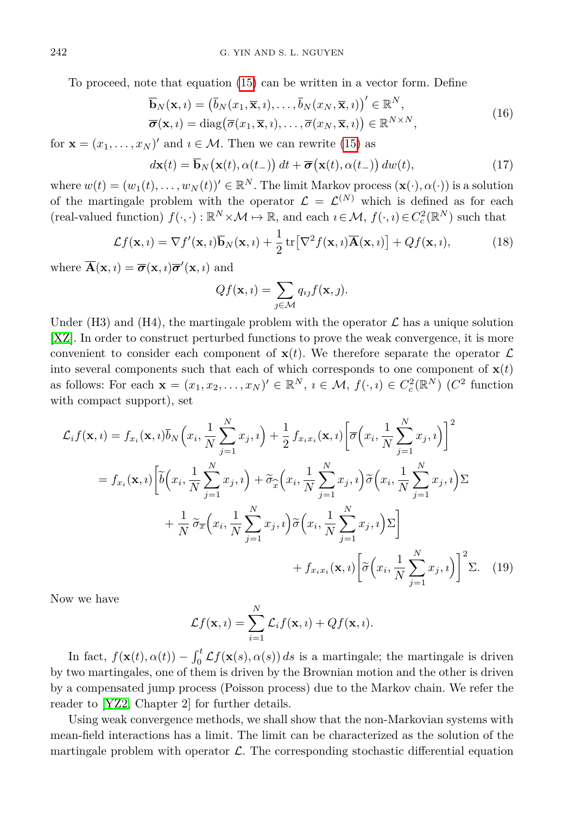To proceed, note that equation [\(15\)](#page-8-0) can be written in a vector form. Define

$$
\overline{\mathbf{b}}_{N}(\mathbf{x}, i) = (\overline{b}_{N}(x_{1}, \overline{\mathbf{x}}, i), \dots, \overline{b}_{N}(x_{N}, \overline{\mathbf{x}}, i))' \in \mathbb{R}^{N}, \n\overline{\boldsymbol{\sigma}}(\mathbf{x}, i) = \text{diag}(\overline{\sigma}(x_{1}, \overline{\mathbf{x}}, i), \dots, \overline{\sigma}(x_{N}, \overline{\mathbf{x}}, i)) \in \mathbb{R}^{N \times N},
$$
\n(16)

for  $\mathbf{x} = (x_1, \dots, x_N)'$  and  $i \in \mathcal{M}$ . Then we can rewrite [\(15\)](#page-8-0) as

$$
d\mathbf{x}(t) = \overline{\mathbf{b}}_N(\mathbf{x}(t), \alpha(t_-)) dt + \overline{\boldsymbol{\sigma}}(\mathbf{x}(t), \alpha(t_-)) dw(t),
$$
\n(17)

where  $w(t) = (w_1(t), \ldots, w_N(t))' \in \mathbb{R}^N$ . The limit Markov process  $(\mathbf{x}(\cdot), \alpha(\cdot))$  is a solution of the martingale problem with the operator  $\mathcal{L} = \mathcal{L}^{(N)}$  which is defined as for each  $r(\text{real-valued function})$   $f(\cdot, \cdot) : \mathbb{R}^N \times \mathcal{M} \to \mathbb{R}$ , and each  $i \in \mathcal{M}$ ,  $f(\cdot, i) \in C_c^2(\mathbb{R}^N)$  such that

$$
\mathcal{L}f(\mathbf{x},i) = \nabla f'(\mathbf{x},i)\overline{\mathbf{b}}_N(\mathbf{x},i) + \frac{1}{2}\operatorname{tr}\left[\nabla^2 f(\mathbf{x},i)\overline{\mathbf{A}}(\mathbf{x},i)\right] + Qf(\mathbf{x},i),\tag{18}
$$

where  $\overline{\mathbf{A}}(\mathbf{x}, i) = \overline{\boldsymbol{\sigma}}(\mathbf{x}, i) \overline{\boldsymbol{\sigma}}'(\mathbf{x}, i)$  and

$$
Qf(\mathbf{x},i) = \sum_{j \in \mathcal{M}} q_{ij} f(\mathbf{x},j).
$$

Under (H3) and (H4), the martingale problem with the operator  $\mathcal L$  has a unique solution [\[XZ\]](#page-20-16). In order to construct perturbed functions to prove the weak convergence, it is more convenient to consider each component of  $\mathbf{x}(t)$ . We therefore separate the operator  $\mathcal{L}$ into several components such that each of which corresponds to one component of  $\mathbf{x}(t)$ as follows: For each  $\mathbf{x} = (x_1, x_2, \dots, x_N)' \in \mathbb{R}^N$ ,  $i \in \mathcal{M}$ ,  $f(\cdot, i) \in C_c^2(\mathbb{R}^N)$  ( $C^2$  function with compact support), set

$$
\mathcal{L}_{i}f(\mathbf{x}, i) = f_{x_{i}}(\mathbf{x}, i)\overline{b}_{N}\left(x_{i}, \frac{1}{N} \sum_{j=1}^{N} x_{j}, i\right) + \frac{1}{2} f_{x_{i}x_{i}}(\mathbf{x}, i)\left[\overline{\sigma}\left(x_{i}, \frac{1}{N} \sum_{j=1}^{N} x_{j}, i\right)\right]^{2}
$$
\n
$$
= f_{x_{i}}(\mathbf{x}, i)\left[\tilde{b}\left(x_{i}, \frac{1}{N} \sum_{j=1}^{N} x_{j}, i\right) + \tilde{\sigma}_{\widehat{x}}\left(x_{i}, \frac{1}{N} \sum_{j=1}^{N} x_{j}, i\right)\tilde{\sigma}\left(x_{i}, \frac{1}{N} \sum_{j=1}^{N} x_{j}, i\right)\Sigma\right]
$$
\n
$$
+ \frac{1}{N} \tilde{\sigma}_{\overline{x}}\left(x_{i}, \frac{1}{N} \sum_{j=1}^{N} x_{j}, i\right)\tilde{\sigma}\left(x_{i}, \frac{1}{N} \sum_{j=1}^{N} x_{j}, i\right)\Sigma\right]
$$
\n
$$
+ f_{x_{i}x_{i}}(\mathbf{x}, i)\left[\tilde{\sigma}\left(x_{i}, \frac{1}{N} \sum_{j=1}^{N} x_{j}, i\right)\right]^{2}\Sigma. \quad (19)
$$

Now we have

$$
\mathcal{L}f(\mathbf{x},i) = \sum_{i=1}^N \mathcal{L}_i f(\mathbf{x},i) + Qf(\mathbf{x},i).
$$

In fact,  $f(\mathbf{x}(t), \alpha(t)) - \int_0^t \mathcal{L}f(\mathbf{x}(s), \alpha(s)) ds$  is a martingale; the martingale is driven by two martingales, one of them is driven by the Brownian motion and the other is driven by a compensated jump process (Poisson process) due to the Markov chain. We refer the reader to [\[YZ2,](#page-21-0) Chapter 2] for further details.

Using weak convergence methods, we shall show that the non-Markovian systems with mean-field interactions has a limit. The limit can be characterized as the solution of the martingale problem with operator  $\mathcal{L}$ . The corresponding stochastic differential equation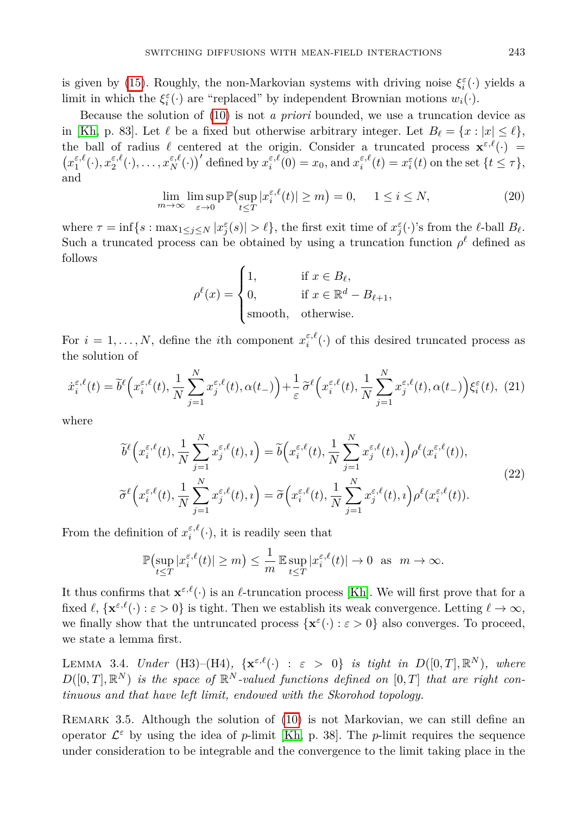is given by [\(15\)](#page-8-0). Roughly, the non-Markovian systems with driving noise  $\xi_i^{\varepsilon}(\cdot)$  yields a limit in which the  $\xi_i^{\varepsilon}(\cdot)$  are "replaced" by independent Brownian motions  $w_i(\cdot)$ .

Because the solution of [\(10\)](#page-7-1) is not *a priori* bounded, we use a truncation device as in [\[Kh,](#page-20-14) p. 83]. Let  $\ell$  be a fixed but otherwise arbitrary integer. Let  $B_{\ell} = \{x : |x| \leq \ell\},\$ the ball of radius  $\ell$  centered at the origin. Consider a truncated process  $\mathbf{x}^{\varepsilon,\ell}(\cdot)$  =  $(x_1^{\varepsilon,\ell}(\cdot),x_2^{\varepsilon,\ell}(\cdot),\ldots,x_N^{\varepsilon,\ell}(\cdot))'$  defined by  $x_i^{\varepsilon,\ell}(0)=x_0$ , and  $x_i^{\varepsilon,\ell}(t)=x_i^{\varepsilon}(t)$  on the set  $\{t\leq \tau\}$ , and

$$
\lim_{m \to \infty} \limsup_{\varepsilon \to 0} \mathbb{P}\left(\sup_{t \le T} |x_i^{\varepsilon, \ell}(t)| \ge m\right) = 0, \quad 1 \le i \le N,\tag{20}
$$

where  $\tau = \inf\{s : \max_{1 \leq j \leq N} |x_j^{\varepsilon}(s)| > \ell\}$ , the first exit time of  $x_j^{\varepsilon}(\cdot)$ 's from the  $\ell$ -ball  $B_{\ell}$ . Such a truncated process can be obtained by using a truncation function  $\rho^{\ell}$  defined as follows

$$
\rho^{\ell}(x) = \begin{cases} 1, & \text{if } x \in B_{\ell}, \\ 0, & \text{if } x \in \mathbb{R}^{d} - B_{\ell+1}, \\ \text{smooth}, & \text{otherwise.} \end{cases}
$$

For  $i = 1, ..., N$ , define the *i*th component  $x_i^{\varepsilon,\ell}(\cdot)$  of this desired truncated process as the solution of

$$
\dot{x}_i^{\varepsilon,\ell}(t) = \tilde{b}^{\ell}\Big(x_i^{\varepsilon,\ell}(t), \frac{1}{N} \sum_{j=1}^N x_j^{\varepsilon,\ell}(t), \alpha(t-)\Big) + \frac{1}{\varepsilon} \tilde{\sigma}^{\ell}\Big(x_i^{\varepsilon,\ell}(t), \frac{1}{N} \sum_{j=1}^N x_j^{\varepsilon,\ell}(t), \alpha(t-)\Big) \xi_i^{\varepsilon}(t), (21)
$$

where

<span id="page-10-1"></span>
$$
\widetilde{b}^{\ell}\left(x_{i}^{\varepsilon,\ell}(t),\frac{1}{N}\sum_{j=1}^{N}x_{j}^{\varepsilon,\ell}(t),i\right) = \widetilde{b}\left(x_{i}^{\varepsilon,\ell}(t),\frac{1}{N}\sum_{j=1}^{N}x_{j}^{\varepsilon,\ell}(t),i\right)\rho^{\ell}(x_{i}^{\varepsilon,\ell}(t)),
$$
\n
$$
\widetilde{\sigma}^{\ell}\left(x_{i}^{\varepsilon,\ell}(t),\frac{1}{N}\sum_{j=1}^{N}x_{j}^{\varepsilon,\ell}(t),i\right) = \widetilde{\sigma}\left(x_{i}^{\varepsilon,\ell}(t),\frac{1}{N}\sum_{j=1}^{N}x_{j}^{\varepsilon,\ell}(t),i\right)\rho^{\ell}(x_{i}^{\varepsilon,\ell}(t)).
$$
\n(22)

From the definition of  $x_i^{\varepsilon,\ell}(\cdot)$ , it is readily seen that

$$
\mathbb{P}\left(\sup_{t\leq T}|x_i^{\varepsilon,\ell}(t)|\geq m\right)\leq \frac{1}{m}\mathbb{E}\sup_{t\leq T}|x_i^{\varepsilon,\ell}(t)|\to 0 \text{ as } m\to\infty.
$$

It thus confirms that  $\mathbf{x}^{\varepsilon,\ell}(\cdot)$  is an  $\ell$ -truncation process [\[Kh\]](#page-20-14). We will first prove that for a fixed  $\ell$ ,  $\{x^{\varepsilon,\ell}(\cdot): \varepsilon > 0\}$  is tight. Then we establish its weak convergence. Letting  $\ell \to \infty$ , we finally show that the untruncated process  $\{x^{\varepsilon}(\cdot): \varepsilon > 0\}$  also converges. To proceed, we state a lemma first.

<span id="page-10-0"></span>LEMMA 3.4. *Under* (H3)–(H4),  $\{x^{\varepsilon,\ell}(\cdot) : \varepsilon > 0\}$  *is tight in*  $D([0,T], \mathbb{R}^N)$ , where  $D([0,T], \mathbb{R}^N)$  *is the space of*  $\mathbb{R}^N$ -valued functions defined on  $[0,T]$  that are right con*tinuous and that have left limit, endowed with the Skorohod topology.*

REMARK 3.5. Although the solution of [\(10\)](#page-7-1) is not Markovian, we can still define an operator  $\mathcal{L}^{\varepsilon}$  by using the idea of *p*-limit [\[Kh,](#page-20-14) p. 38]. The *p*-limit requires the sequence under consideration to be integrable and the convergence to the limit taking place in the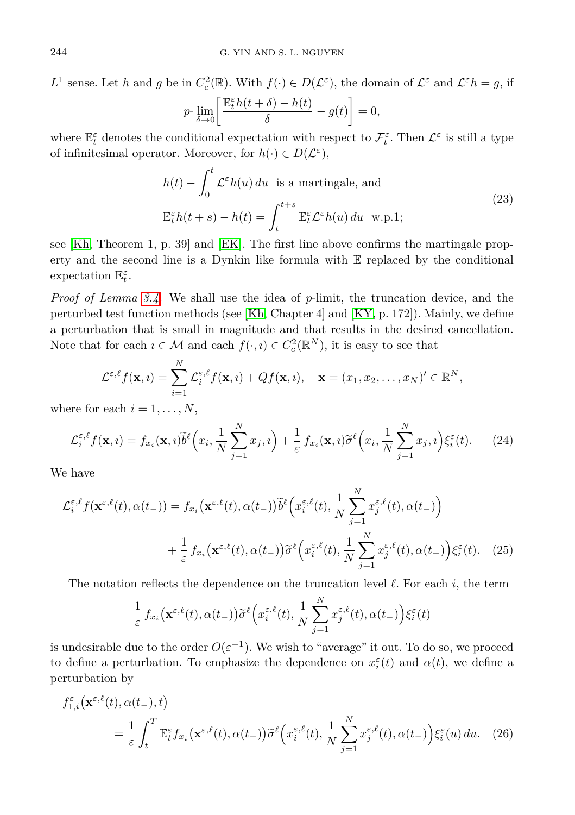*L*<sup>1</sup> sense. Let *h* and *g* be in  $C_c^2(\mathbb{R})$ . With  $f(\cdot) \in D(\mathcal{L}^{\varepsilon})$ , the domain of  $\mathcal{L}^{\varepsilon}$  and  $\mathcal{L}^{\varepsilon}h = g$ , if

$$
p\text{-}\lim_{\delta \to 0} \left[ \frac{\mathbb{E}_{t}^{\varepsilon}h(t+\delta) - h(t)}{\delta} - g(t) \right] = 0,
$$

where  $\mathbb{E}_{t}^{\varepsilon}$  denotes the conditional expectation with respect to  $\mathcal{F}_{t}^{\varepsilon}$ . Then  $\mathcal{L}^{\varepsilon}$  is still a type of infinitesimal operator. Moreover, for  $h(\cdot) \in D(\mathcal{L}^{\varepsilon})$ ,

$$
h(t) - \int_0^t \mathcal{L}^\varepsilon h(u) \, du \quad \text{is a martingale, and}
$$
\n
$$
\mathbb{E}_t^\varepsilon h(t+s) - h(t) = \int_t^{t+s} \mathbb{E}_t^\varepsilon \mathcal{L}^\varepsilon h(u) \, du \quad \text{w.p.1};
$$
\n(23)

see [\[Kh,](#page-20-14) Theorem 1, p. 39] and [\[EK\]](#page-19-8). The first line above confirms the martingale property and the second line is a Dynkin like formula with  $E$  replaced by the conditional expectation E *ε t* .

*Proof of Lemma [3.4.](#page-10-0)* We shall use the idea of *p*-limit, the truncation device, and the perturbed test function methods (see [\[Kh,](#page-20-14) Chapter 4] and [\[KY,](#page-20-17) p. 172]). Mainly, we define a perturbation that is small in magnitude and that results in the desired cancellation. Note that for each  $\iota \in \mathcal{M}$  and each  $f(\cdot, \iota) \in C_c^2(\mathbb{R}^N)$ , it is easy to see that

$$
\mathcal{L}^{\varepsilon,\ell} f(\mathbf{x},i) = \sum_{i=1}^N \mathcal{L}_i^{\varepsilon,\ell} f(\mathbf{x},i) + Qf(\mathbf{x},i), \quad \mathbf{x} = (x_1, x_2, \dots, x_N)' \in \mathbb{R}^N,
$$

where for each  $i = 1, \ldots, N$ ,

$$
\mathcal{L}_{i}^{\varepsilon,\ell} f(\mathbf{x},i) = f_{x_i}(\mathbf{x},i) \widetilde{b}^{\ell} \left( x_i, \frac{1}{N} \sum_{j=1}^{N} x_j, i \right) + \frac{1}{\varepsilon} f_{x_i}(\mathbf{x},i) \widetilde{\sigma}^{\ell} \left( x_i, \frac{1}{N} \sum_{j=1}^{N} x_j, i \right) \xi_i^{\varepsilon}(t). \tag{24}
$$

We have

$$
\mathcal{L}_{i}^{\varepsilon,\ell} f(\mathbf{x}^{\varepsilon,\ell}(t),\alpha(t_{-})) = f_{x_{i}}(\mathbf{x}^{\varepsilon,\ell}(t),\alpha(t_{-})) \widetilde{b}^{\ell} \left( x_{i}^{\varepsilon,\ell}(t), \frac{1}{N} \sum_{j=1}^{N} x_{j}^{\varepsilon,\ell}(t), \alpha(t_{-}) \right) + \frac{1}{\varepsilon} f_{x_{i}}(\mathbf{x}^{\varepsilon,\ell}(t),\alpha(t_{-})) \widetilde{\sigma}^{\ell} \left( x_{i}^{\varepsilon,\ell}(t), \frac{1}{N} \sum_{j=1}^{N} x_{j}^{\varepsilon,\ell}(t),\alpha(t_{-}) \right) \xi_{i}^{\varepsilon}(t). \tag{25}
$$

The notation reflects the dependence on the truncation level  $\ell$ . For each  $i$ , the term

<span id="page-11-0"></span>
$$
\frac{1}{\varepsilon} f_{x_i}(\mathbf{x}^{\varepsilon,\ell}(t),\alpha(t_-)) \widetilde{\sigma}^{\ell}\Big(x_i^{\varepsilon,\ell}(t),\frac{1}{N}\sum_{j=1}^N x_j^{\varepsilon,\ell}(t),\alpha(t_-)\Big) \xi_i^{\varepsilon}(t)
$$

is undesirable due to the order  $O(\varepsilon^{-1})$ . We wish to "average" it out. To do so, we proceed to define a perturbation. To emphasize the dependence on  $x_i^{\varepsilon}(t)$  and  $\alpha(t)$ , we define a perturbation by

$$
f_{1,i}^{\varepsilon}(\mathbf{x}^{\varepsilon,\ell}(t),\alpha(t_{-}),t) = \frac{1}{\varepsilon} \int_{t}^{T} \mathbb{E}_{t}^{\varepsilon} f_{x_{i}}(\mathbf{x}^{\varepsilon,\ell}(t),\alpha(t_{-})) \widetilde{\sigma}^{\ell}\Big(x_{i}^{\varepsilon,\ell}(t),\frac{1}{N} \sum_{j=1}^{N} x_{j}^{\varepsilon,\ell}(t),\alpha(t_{-})\Big) \xi_{i}^{\varepsilon}(u) du. \quad (26)
$$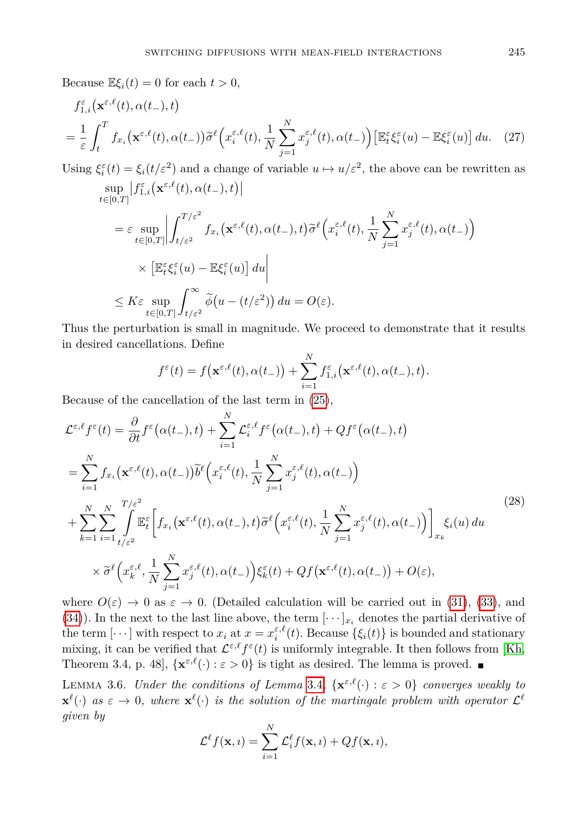Because  $\mathbb{E}\xi_i(t) = 0$  for each  $t > 0$ ,

$$
f_{1,i}^{\varepsilon}(\mathbf{x}^{\varepsilon,\ell}(t),\alpha(t_{-}),t)
$$
  
=  $\frac{1}{\varepsilon} \int_{t}^{T} f_{x_i}(\mathbf{x}^{\varepsilon,\ell}(t),\alpha(t_{-})) \widetilde{\sigma}^{\ell}\Big(x_i^{\varepsilon,\ell}(t),\frac{1}{N} \sum_{j=1}^{N} x_j^{\varepsilon,\ell}(t),\alpha(t_{-})\Big) \big[\mathbb{E}_t^{\varepsilon} \xi_i^{\varepsilon}(u) - \mathbb{E}\xi_i^{\varepsilon}(u)\big] du.$  (27)

Using  $\xi_i^{\varepsilon}(t) = \xi_i(t/\varepsilon^2)$  and a change of variable  $u \mapsto u/\varepsilon^2$ , the above can be rewritten as sup  $|f_{1,i}^{\varepsilon}(\mathbf{x}^{\varepsilon,\ell}(t),\alpha(t_{-}),t)|$ 

$$
\begin{split} \n\epsilon[0,T] \n&= \varepsilon \sup_{t \in [0,T]} \left| \int_{t/\varepsilon^2}^{T/\varepsilon^2} f_{x_i}(\mathbf{x}^{\varepsilon,\ell}(t), \alpha(t_-), t) \widetilde{\sigma}^{\ell}\Big(x_i^{\varepsilon,\ell}(t), \frac{1}{N} \sum_{j=1}^N x_j^{\varepsilon,\ell}(t), \alpha(t_-)\Big) \right| \\ \n&\times \left[ \mathbb{E}_t^{\varepsilon} \xi_i^{\varepsilon}(u) - \mathbb{E} \xi_i^{\varepsilon}(u) \right] du \right| \\ \n&\le K \varepsilon \sup_{t \in [0,T]} \int_{t/\varepsilon^2}^{\infty} \widetilde{\phi}\big(u - (t/\varepsilon^2)\big) du = O(\varepsilon). \n\end{split}
$$

Thus the perturbation is small in magnitude. We proceed to demonstrate that it results in desired cancellations. Define

$$
f^{\varepsilon}(t) = f(\mathbf{x}^{\varepsilon,\ell}(t),\alpha(t_{-})) + \sum_{i=1}^{N} f_{1,i}^{\varepsilon}(\mathbf{x}^{\varepsilon,\ell}(t),\alpha(t_{-}),t).
$$

Because of the cancellation of the last term in [\(25\)](#page-11-0),

$$
\mathcal{L}^{\varepsilon,\ell} f^{\varepsilon}(t) = \frac{\partial}{\partial t} f^{\varepsilon}(\alpha(t_{-}),t) + \sum_{i=1}^{N} \mathcal{L}_{i}^{\varepsilon,\ell} f^{\varepsilon}(\alpha(t_{-}),t) + Qf^{\varepsilon}(\alpha(t_{-}),t)
$$
\n
$$
= \sum_{i=1}^{N} f_{x_{i}}(\mathbf{x}^{\varepsilon,\ell}(t),\alpha(t_{-})) \widetilde{b}^{\ell}\left(x_{i}^{\varepsilon,\ell}(t),\frac{1}{N} \sum_{j=1}^{N} x_{j}^{\varepsilon,\ell}(t),\alpha(t_{-})\right)
$$
\n
$$
+ \sum_{k=1}^{N} \sum_{i=1}^{N} \int_{t/\varepsilon^{2}}^{T/\varepsilon^{2}} \mathbb{E}_{t}^{\varepsilon} \left[ f_{x_{i}}(\mathbf{x}^{\varepsilon,\ell}(t),\alpha(t_{-}),t) \widetilde{\sigma}^{\ell}\left(x_{i}^{\varepsilon,\ell}(t),\frac{1}{N} \sum_{j=1}^{N} x_{j}^{\varepsilon,\ell}(t),\alpha(t_{-})\right) \right]_{x_{k}} \xi_{i}(u) du
$$
\n
$$
\times \widetilde{\sigma}^{\ell}\left(x_{k}^{\varepsilon,\ell},\frac{1}{N} \sum_{j=1}^{N} x_{j}^{\varepsilon,\ell}(t),\alpha(t_{-})\right) \xi_{k}^{\varepsilon}(t) + Qf(\mathbf{x}^{\varepsilon,\ell}(t),\alpha(t_{-})) + O(\varepsilon),
$$
\n(28)

where  $O(\varepsilon) \to 0$  as  $\varepsilon \to 0$ . (Detailed calculation will be carried out in [\(31\)](#page-14-0), [\(33\)](#page-14-1), and [\(34\)](#page-14-2)). In the next to the last line above, the term  $[\cdots]_{x_i}$  denotes the partial derivative of the term  $[\cdots]$  with respect to  $x_i$  at  $x = x_i^{\varepsilon,\ell}(t)$ . Because  $\{\xi_i(t)\}\$ is bounded and stationary mixing, it can be verified that  $\mathcal{L}^{\varepsilon,\ell} f^{\varepsilon}(t)$  is uniformly integrable. It then follows from [\[Kh,](#page-20-14) Theorem 3.4, p. 48],  $\{ \mathbf{x}^{\varepsilon,\ell}(\cdot) : \varepsilon > 0 \}$  is tight as desired. The lemma is proved.

<span id="page-12-0"></span>LEMMA 3.6. *Under the conditions of Lemma* [3.4](#page-10-0),  $\{x^{\varepsilon,\ell}(\cdot) : \varepsilon > 0\}$  *converges weakly to*  $\mathbf{x}^{\ell}(\cdot)$  *as*  $\varepsilon \to 0$ , where  $\mathbf{x}^{\ell}(\cdot)$  *is the solution of the martingale problem with operator*  $\mathcal{L}^{\ell}$ *given by*

$$
\mathcal{L}^{\ell} f(\mathbf{x}, i) = \sum_{i=1}^{N} \mathcal{L}_i^{\ell} f(\mathbf{x}, i) + Qf(\mathbf{x}, i),
$$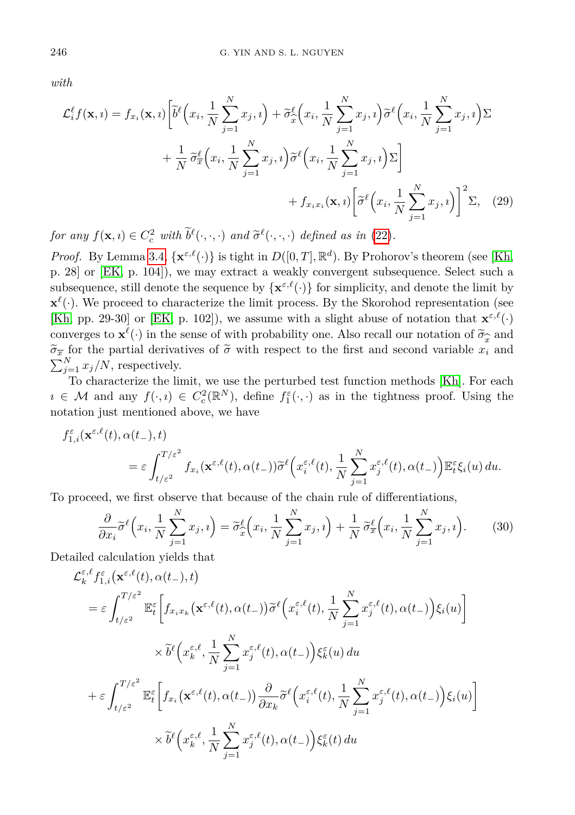*with*

$$
\mathcal{L}_{i}^{\ell} f(\mathbf{x}, i) = f_{x_{i}}(\mathbf{x}, i) \left[ \tilde{b}^{\ell} \left( x_{i}, \frac{1}{N} \sum_{j=1}^{N} x_{j}, i \right) + \tilde{\sigma}_{\hat{x}}^{\ell} \left( x_{i}, \frac{1}{N} \sum_{j=1}^{N} x_{j}, i \right) \tilde{\sigma}^{\ell} \left( x_{i}, \frac{1}{N} \sum_{j=1}^{N} x_{j}, i \right) \Sigma + \frac{1}{N} \tilde{\sigma}_{\bar{x}}^{\ell} \left( x_{i}, \frac{1}{N} \sum_{j=1}^{N} x_{j}, i \right) \tilde{\sigma}^{\ell} \left( x_{i}, \frac{1}{N} \sum_{j=1}^{N} x_{j}, i \right) \Sigma + f_{x_{i} x_{i}}(\mathbf{x}, i) \left[ \tilde{\sigma}^{\ell} \left( x_{i}, \frac{1}{N} \sum_{j=1}^{N} x_{j}, i \right) \right]^{2} \Sigma, \quad (29)
$$

*for any*  $f(\mathbf{x}, i) \in C_c^2$  *with*  $b^{\ell}(\cdot, \cdot, \cdot)$  *and*  $\tilde{\sigma}^{\ell}(\cdot, \cdot, \cdot)$  *defined as in* [\(22\)](#page-10-1)*.* 

*Proof.* By Lemma [3.4,](#page-10-0)  $\{ \mathbf{x}^{\varepsilon,\ell}(\cdot) \}$  is tight in  $D([0,T], \mathbb{R}^d)$ . By Prohorov's theorem (see [\[Kh,](#page-20-14) p. 28] or [\[EK,](#page-19-8) p. 104]), we may extract a weakly convergent subsequence. Select such a subsequence, still denote the sequence by  $\{x^{\varepsilon,\ell}(\cdot)\}\)$  for simplicity, and denote the limit by  $\mathbf{x}^{\ell}(\cdot)$ ). We proceed to characterize the limit process. By the Skorohod representation (see [\[Kh,](#page-20-14) pp. 29-30] or [\[EK,](#page-19-8) p. 102]), we assume with a slight abuse of notation that  $\mathbf{x}^{\varepsilon,\ell}(\cdot)$ converges to  $\mathbf{x}^{\ell}(\cdot)$  in the sense of with probability one. Also recall our notation of  $\widetilde{\sigma}_{\widehat{\sigma}}$  and (·) in the sense of with probability one. Also recall our notation of  $\widetilde{\sigma}_{\widetilde{x}}$  ial derivatives of  $\widetilde{\sigma}$  with respect to the first and second variable  $x_i$  $\widetilde{\sigma}_{\overline{x}}$  for the partial derivatives of  $\widetilde{\sigma}$  with respect to the first and second variable  $x_i$  and  $\sum_{i=1}^{N} x_i^i$  respectively.  $\sum_{j=1}^{N} x_j/N$ , respectively.

To characterize the limit, we use the perturbed test function methods [\[Kh\]](#page-20-14). For each  $i \in \mathcal{M}$  and any  $f(\cdot, i) \in C_c^2(\mathbb{R}^N)$ , define  $f_1^{\varepsilon}(\cdot, \cdot)$  as in the tightness proof. Using the notation just mentioned above, we have

$$
f_{1,i}^{\varepsilon}(\mathbf{x}^{\varepsilon,\ell}(t),\alpha(t_{-}),t) = \varepsilon \int_{t/\varepsilon^2}^{T/\varepsilon^2} f_{x_i}(\mathbf{x}^{\varepsilon,\ell}(t),\alpha(t_{-})) \widetilde{\sigma}^{\ell}\Big(x_i^{\varepsilon,\ell}(t),\frac{1}{N}\sum_{j=1}^N x_j^{\varepsilon,\ell}(t),\alpha(t_{-})\Big) \mathbb{E}_t^{\varepsilon} \xi_i(u) du.
$$

To proceed, we first observe that because of the chain rule of differentiations,

<span id="page-13-0"></span>
$$
\frac{\partial}{\partial x_i} \widetilde{\sigma}^\ell \left( x_i, \frac{1}{N} \sum_{j=1}^N x_j, i \right) = \widetilde{\sigma}_x^\ell \left( x_i, \frac{1}{N} \sum_{j=1}^N x_j, i \right) + \frac{1}{N} \widetilde{\sigma}_x^\ell \left( x_i, \frac{1}{N} \sum_{j=1}^N x_j, i \right). \tag{30}
$$

Detailed calculation yields that

$$
\mathcal{L}_{k}^{\varepsilon,\ell} f_{1,i}^{\varepsilon}(\mathbf{x}^{\varepsilon,\ell}(t),\alpha(t_{-}),t)
$$
\n
$$
= \varepsilon \int_{t/\varepsilon^{2}}^{T/\varepsilon^{2}} \mathbb{E}_{t}^{\varepsilon} \bigg[ f_{x_{i}x_{k}}(\mathbf{x}^{\varepsilon,\ell}(t),\alpha(t_{-})) \widetilde{\sigma}^{\ell} \bigg( x_{i}^{\varepsilon,\ell}(t), \frac{1}{N} \sum_{j=1}^{N} x_{j}^{\varepsilon,\ell}(t), \alpha(t_{-}) \bigg) \xi_{i}(u) \bigg]
$$
\n
$$
\times \widetilde{b}^{\ell} \bigg( x_{k}^{\varepsilon,\ell}, \frac{1}{N} \sum_{j=1}^{N} x_{j}^{\varepsilon,\ell}(t), \alpha(t_{-}) \bigg) \xi_{k}^{\varepsilon}(u) du
$$
\n
$$
+ \varepsilon \int_{t/\varepsilon^{2}}^{T/\varepsilon^{2}} \mathbb{E}_{t}^{\varepsilon} \bigg[ f_{x_{i}}(\mathbf{x}^{\varepsilon,\ell}(t),\alpha(t_{-})) \frac{\partial}{\partial x_{k}} \widetilde{\sigma}^{\ell} \bigg( x_{i}^{\varepsilon,\ell}(t), \frac{1}{N} \sum_{j=1}^{N} x_{j}^{\varepsilon,\ell}(t), \alpha(t_{-}) \bigg) \xi_{i}(u) \bigg]
$$
\n
$$
\times \widetilde{b}^{\ell} \bigg( x_{k}^{\varepsilon,\ell}, \frac{1}{N} \sum_{j=1}^{N} x_{j}^{\varepsilon,\ell}(t), \alpha(t_{-}) \bigg) \xi_{k}^{\varepsilon}(t) du
$$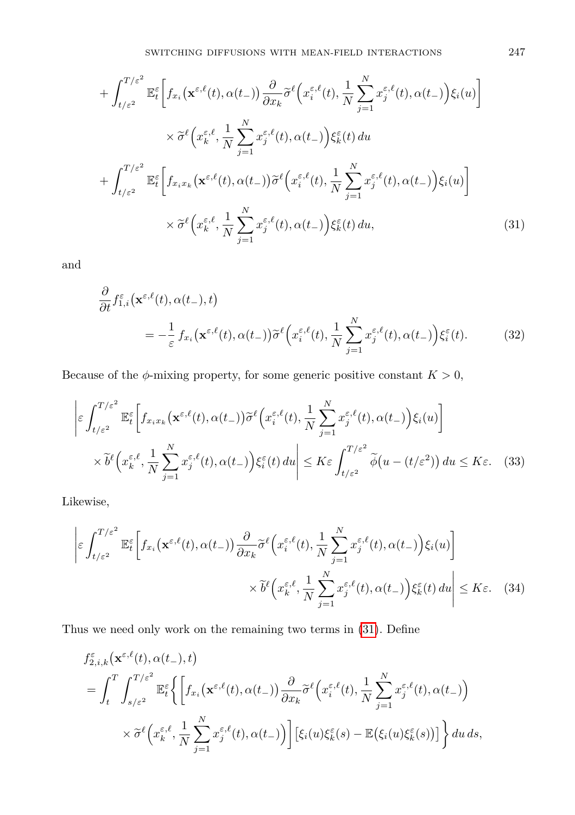$$
+ \int_{t/\varepsilon^2}^{T/\varepsilon^2} \mathbb{E}_t^{\varepsilon} \bigg[ f_{x_i}(\mathbf{x}^{\varepsilon,\ell}(t), \alpha(t_-)) \frac{\partial}{\partial x_k} \widetilde{\sigma}^{\ell} \Big( x_i^{\varepsilon,\ell}(t), \frac{1}{N} \sum_{j=1}^N x_j^{\varepsilon,\ell}(t), \alpha(t_-) \Big) \xi_i(u) \bigg] \times \widetilde{\sigma}^{\ell} \Big( x_k^{\varepsilon,\ell}, \frac{1}{N} \sum_{j=1}^N x_j^{\varepsilon,\ell}(t), \alpha(t_-) \Big) \xi_k^{\varepsilon}(t) du
$$
  
+ 
$$
+ \int_{t/\varepsilon^2}^{T/\varepsilon^2} \mathbb{E}_t^{\varepsilon} \bigg[ f_{x_i x_k}(\mathbf{x}^{\varepsilon,\ell}(t), \alpha(t_-)) \widetilde{\sigma}^{\ell} \Big( x_i^{\varepsilon,\ell}(t), \frac{1}{N} \sum_{j=1}^N x_j^{\varepsilon,\ell}(t), \alpha(t_-) \Big) \xi_i(u) \bigg] \times \widetilde{\sigma}^{\ell} \Big( x_k^{\varepsilon,\ell}, \frac{1}{N} \sum_{j=1}^N x_j^{\varepsilon,\ell}(t), \alpha(t_-) \Big) \xi_k^{\varepsilon}(t) du,
$$
 (31)

and

<span id="page-14-0"></span>
$$
\frac{\partial}{\partial t} f_{1,i}^{\varepsilon}(\mathbf{x}^{\varepsilon,\ell}(t),\alpha(t_{-}),t) = -\frac{1}{\varepsilon} f_{x_i}(\mathbf{x}^{\varepsilon,\ell}(t),\alpha(t_{-}))\widetilde{\sigma}^{\ell}\Big(x_i^{\varepsilon,\ell}(t),\frac{1}{N}\sum_{j=1}^N x_j^{\varepsilon,\ell}(t),\alpha(t_{-})\Big)\xi_i^{\varepsilon}(t). \tag{32}
$$

Because of the  $\phi$ -mixing property, for some generic positive constant  $K > 0$ ,

<span id="page-14-1"></span>
$$
\left| \varepsilon \int_{t/\varepsilon^2}^{T/\varepsilon^2} \mathbb{E}_t^{\varepsilon} \left[ f_{x_i x_k}(\mathbf{x}^{\varepsilon,\ell}(t), \alpha(t-)) \widetilde{\sigma}^{\ell} \left( x_i^{\varepsilon,\ell}(t), \frac{1}{N} \sum_{j=1}^N x_j^{\varepsilon,\ell}(t), \alpha(t-) \right) \xi_i(u) \right] \right|
$$
  
 
$$
\times \widetilde{b}^{\ell} \left( x_k^{\varepsilon,\ell}, \frac{1}{N} \sum_{j=1}^N x_j^{\varepsilon,\ell}(t), \alpha(t-) \right) \xi_i^{\varepsilon}(t) du \right| \leq K \varepsilon \int_{t/\varepsilon^2}^{T/\varepsilon^2} \widetilde{\phi}(u - (t/\varepsilon^2)) du \leq K \varepsilon. \quad (33)
$$

Likewise,

$$
\left| \varepsilon \int_{t/\varepsilon^2}^{T/\varepsilon^2} \mathbb{E}_t^{\varepsilon} \left[ f_{x_i}(\mathbf{x}^{\varepsilon,\ell}(t), \alpha(t_-)) \frac{\partial}{\partial x_k} \widetilde{\sigma}^{\ell} \left( x_i^{\varepsilon,\ell}(t), \frac{1}{N} \sum_{j=1}^N x_j^{\varepsilon,\ell}(t), \alpha(t_-) \right) \xi_i(u) \right] \times \widetilde{b}^{\ell} \left( x_k^{\varepsilon,\ell}, \frac{1}{N} \sum_{j=1}^N x_j^{\varepsilon,\ell}(t), \alpha(t_-) \right) \xi_k^{\varepsilon}(t) du \right| \le K\varepsilon. \quad (34)
$$

Thus we need only work on the remaining two terms in [\(31\)](#page-14-0). Define

<span id="page-14-2"></span>
$$
f_{2,i,k}^{\varepsilon}(\mathbf{x}^{\varepsilon,\ell}(t),\alpha(t_{-}),t)
$$
\n
$$
= \int_{t}^{T} \int_{s/\varepsilon^{2}}^{T/\varepsilon^{2}} \mathbb{E}_{t}^{\varepsilon} \bigg\{ \bigg[ f_{x_{i}}(\mathbf{x}^{\varepsilon,\ell}(t),\alpha(t_{-})) \frac{\partial}{\partial x_{k}} \widetilde{\sigma}^{\ell} \bigg( x_{i}^{\varepsilon,\ell}(t), \frac{1}{N} \sum_{j=1}^{N} x_{j}^{\varepsilon,\ell}(t),\alpha(t_{-}) \bigg) \times \widetilde{\sigma}^{\ell} \bigg( x_{k}^{\varepsilon,\ell}, \frac{1}{N} \sum_{j=1}^{N} x_{j}^{\varepsilon,\ell}(t),\alpha(t_{-}) \bigg) \bigg] \big[ \xi_{i}(u) \xi_{k}^{\varepsilon}(s) - \mathbb{E} \big( \xi_{i}(u) \xi_{k}^{\varepsilon}(s) \big) \big] \bigg\} du ds,
$$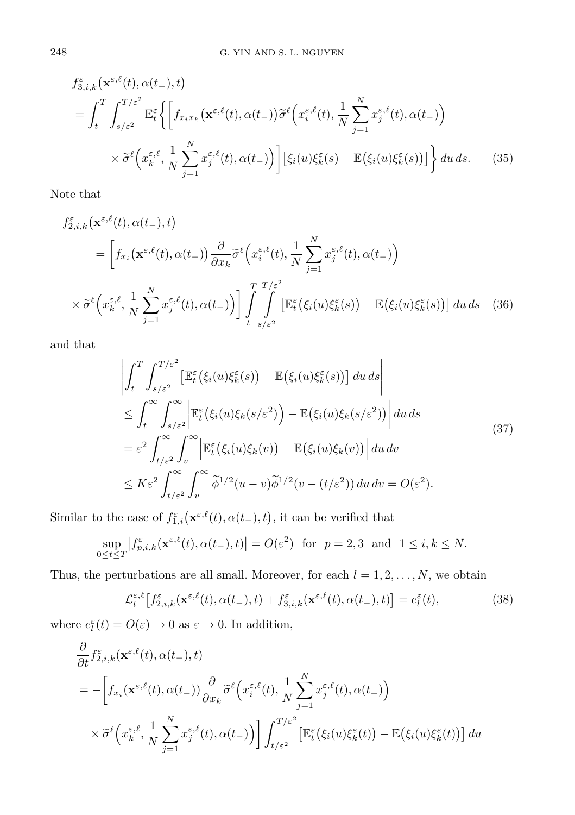$$
f_{3,i,k}^{\varepsilon}(\mathbf{x}^{\varepsilon,\ell}(t),\alpha(t_{-}),t)
$$
  
\n
$$
= \int_{t}^{T} \int_{s/\varepsilon^{2}}^{T/\varepsilon^{2}} \mathbb{E}_{t}^{\varepsilon} \Biggl\{ \Biggl[ f_{x_{i}x_{k}}(\mathbf{x}^{\varepsilon,\ell}(t),\alpha(t_{-})) \widetilde{\sigma}^{\ell} \Bigl( x_{i}^{\varepsilon,\ell}(t), \frac{1}{N} \sum_{j=1}^{N} x_{j}^{\varepsilon,\ell}(t), \alpha(t_{-}) \Bigr) \Biggr] \times \widetilde{\sigma}^{\ell} \Bigl( x_{k}^{\varepsilon,\ell}, \frac{1}{N} \sum_{j=1}^{N} x_{j}^{\varepsilon,\ell}(t), \alpha(t_{-}) \Bigr) \Biggr] \Bigl[ \xi_{i}(u) \xi_{k}^{\varepsilon}(s) - \mathbb{E} \bigl( \xi_{i}(u) \xi_{k}^{\varepsilon}(s) \bigr) \Bigr] \Biggr\} du ds. \quad (35)
$$

Note that

$$
f_{2,i,k}^{\varepsilon}(\mathbf{x}^{\varepsilon,\ell}(t),\alpha(t_{-}),t)
$$
\n
$$
= \left[ f_{x_i}(\mathbf{x}^{\varepsilon,\ell}(t),\alpha(t_{-})) \frac{\partial}{\partial x_k} \widetilde{\sigma}^{\ell} \left( x_i^{\varepsilon,\ell}(t), \frac{1}{N} \sum_{j=1}^N x_j^{\varepsilon,\ell}(t), \alpha(t_{-}) \right) \right]
$$
\n
$$
\times \widetilde{\sigma}^{\ell} \left( x_k^{\varepsilon,\ell}, \frac{1}{N} \sum_{j=1}^N x_j^{\varepsilon,\ell}(t), \alpha(t_{-}) \right) \left[ \int\limits_{t}^T \int\limits_{s/\varepsilon^2}^{\Gamma/\varepsilon^2} \left[ \mathbb{E}_t^{\varepsilon} \left( \xi_i(u) \xi_k^{\varepsilon}(s) \right) - \mathbb{E} \left( \xi_i(u) \xi_k^{\varepsilon}(s) \right) \right] du \, ds \quad (36)
$$

and that

$$
\left| \int_{t}^{T} \int_{s/\varepsilon^{2}}^{T/\varepsilon^{2}} \left[ \mathbb{E}_{t}^{\varepsilon} \left( \xi_{i}(u) \xi_{k}^{\varepsilon}(s) \right) - \mathbb{E} \left( \xi_{i}(u) \xi_{k}^{\varepsilon}(s) \right) \right] du \, ds \right|
$$
\n
$$
\leq \int_{t}^{\infty} \int_{s/\varepsilon^{2}}^{\infty} \left| \mathbb{E}_{t}^{\varepsilon} \left( \xi_{i}(u) \xi_{k}(s/\varepsilon^{2}) \right) - \mathbb{E} \left( \xi_{i}(u) \xi_{k}(s/\varepsilon^{2}) \right) \right| du \, ds
$$
\n
$$
= \varepsilon^{2} \int_{t/\varepsilon^{2}}^{\infty} \int_{v}^{\infty} \left| \mathbb{E}_{t}^{\varepsilon} \left( \xi_{i}(u) \xi_{k}(v) \right) - \mathbb{E} \left( \xi_{i}(u) \xi_{k}(v) \right) \right| du \, dv
$$
\n
$$
\leq K \varepsilon^{2} \int_{t/\varepsilon^{2}}^{\infty} \int_{v}^{\infty} \widetilde{\phi}^{1/2}(u-v) \widetilde{\phi}^{1/2}(v-(t/\varepsilon^{2})) du \, dv = O(\varepsilon^{2}).
$$
\n(37)

Similar to the case of  $f_{1,i}^{\varepsilon}(\mathbf{x}^{\varepsilon,\ell}(t), \alpha(t_-, t), t)$ , it can be verified that

$$
\sup_{0\leq t\leq T}\left|f_{p,i,k}^{\varepsilon}(\mathbf{x}^{\varepsilon,\ell}(t),\alpha(t_{-}),t)\right|=O(\varepsilon^2)\quad \text{for}\quad p=2,3\quad\text{and}\quad 1\leq i,k\leq N.
$$

Thus, the perturbations are all small. Moreover, for each  $l = 1, 2, ..., N$ , we obtain

$$
\mathcal{L}_l^{\varepsilon,\ell}\left[f_{2,i,k}^{\varepsilon}(\mathbf{x}^{\varepsilon,\ell}(t),\alpha(t_-),t) + f_{3,i,k}^{\varepsilon}(\mathbf{x}^{\varepsilon,\ell}(t),\alpha(t_-),t)\right] = e_l^{\varepsilon}(t),\tag{38}
$$

where  $e_l^{\varepsilon}(t) = O(\varepsilon) \to 0$  as  $\varepsilon \to 0$ . In addition,

$$
\frac{\partial}{\partial t} f_{2,i,k}^{\varepsilon}(\mathbf{x}^{\varepsilon,\ell}(t),\alpha(t_{-}),t)
$$
\n
$$
= -\left[f_{x_i}(\mathbf{x}^{\varepsilon,\ell}(t),\alpha(t_{-}))\frac{\partial}{\partial x_k}\widetilde{\sigma}^{\ell}\left(x_i^{\varepsilon,\ell}(t),\frac{1}{N}\sum_{j=1}^N x_j^{\varepsilon,\ell}(t),\alpha(t_{-})\right)\right]
$$
\n
$$
\times \widetilde{\sigma}^{\ell}\left(x_k^{\varepsilon,\ell},\frac{1}{N}\sum_{j=1}^N x_j^{\varepsilon,\ell}(t),\alpha(t_{-})\right)\right] \int_{t/\varepsilon^2}^{T/\varepsilon^2} \left[\mathbb{E}_{t}^{\varepsilon}\left(\xi_i(u)\xi_k^{\varepsilon}(t)\right) - \mathbb{E}\left(\xi_i(u)\xi_k^{\varepsilon}(t)\right)\right] du
$$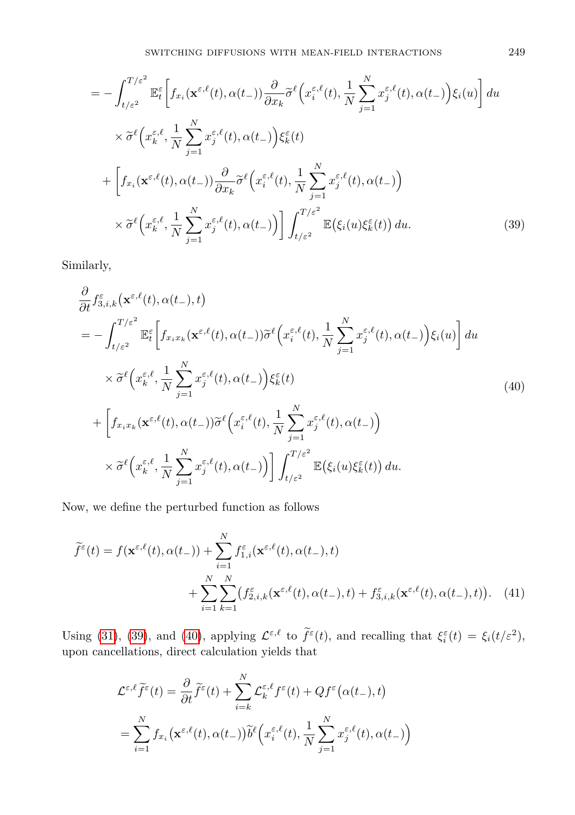$$
= -\int_{t/\varepsilon^2}^{T/\varepsilon^2} \mathbb{E}_t^{\varepsilon} \left[ f_{x_i}(\mathbf{x}^{\varepsilon,\ell}(t), \alpha(t_-)) \frac{\partial}{\partial x_k} \widetilde{\sigma}^{\ell} \left( x_i^{\varepsilon,\ell}(t), \frac{1}{N} \sum_{j=1}^N x_j^{\varepsilon,\ell}(t), \alpha(t_-) \right) \xi_i(u) \right] du
$$
  
\n
$$
\times \widetilde{\sigma}^{\ell} \left( x_k^{\varepsilon,\ell}, \frac{1}{N} \sum_{j=1}^N x_j^{\varepsilon,\ell}(t), \alpha(t_-) \right) \xi_k^{\varepsilon}(t)
$$
  
\n
$$
+ \left[ f_{x_i}(\mathbf{x}^{\varepsilon,\ell}(t), \alpha(t_-)) \frac{\partial}{\partial x_k} \widetilde{\sigma}^{\ell} \left( x_i^{\varepsilon,\ell}(t), \frac{1}{N} \sum_{j=1}^N x_j^{\varepsilon,\ell}(t), \alpha(t_-) \right) \right]
$$
  
\n
$$
\times \widetilde{\sigma}^{\ell} \left( x_k^{\varepsilon,\ell}, \frac{1}{N} \sum_{j=1}^N x_j^{\varepsilon,\ell}(t), \alpha(t_-) \right) \right] \int_{t/\varepsilon^2}^{T/\varepsilon^2} \mathbb{E} \left( \xi_i(u) \xi_k^{\varepsilon}(t) \right) du.
$$
 (39)

Similarly,

<span id="page-16-1"></span><span id="page-16-0"></span>
$$
\frac{\partial}{\partial t} f_{3,i,k}^{\varepsilon}(\mathbf{x}^{\varepsilon,\ell}(t),\alpha(t_{-}),t) \n= -\int_{t/\varepsilon^{2}}^{T/\varepsilon^{2}} \mathbb{E}_{t}^{\varepsilon} \bigg[ f_{x_{i}x_{k}}(\mathbf{x}^{\varepsilon,\ell}(t),\alpha(t_{-}))\tilde{\sigma}^{\ell}\bigg(x_{i}^{\varepsilon,\ell}(t),\frac{1}{N}\sum_{j=1}^{N}x_{j}^{\varepsilon,\ell}(t),\alpha(t_{-})\bigg)\xi_{i}(u)\bigg] du \n\times \tilde{\sigma}^{\ell}\bigg(x_{k}^{\varepsilon,\ell},\frac{1}{N}\sum_{j=1}^{N}x_{j}^{\varepsilon,\ell}(t),\alpha(t_{-})\bigg)\xi_{k}^{\varepsilon}(t) \n+ \bigg[ f_{x_{i}x_{k}}(\mathbf{x}^{\varepsilon,\ell}(t),\alpha(t_{-}))\tilde{\sigma}^{\ell}\bigg(x_{i}^{\varepsilon,\ell}(t),\frac{1}{N}\sum_{j=1}^{N}x_{j}^{\varepsilon,\ell}(t),\alpha(t_{-})\bigg) \n\times \tilde{\sigma}^{\ell}\bigg(x_{k}^{\varepsilon,\ell},\frac{1}{N}\sum_{j=1}^{N}x_{j}^{\varepsilon,\ell}(t),\alpha(t_{-})\bigg) \bigg] \int_{t/\varepsilon^{2}}^{T/\varepsilon^{2}} \mathbb{E}(\xi_{i}(u)\xi_{k}^{\varepsilon}(t)) du.
$$
\n(40)

Now, we define the perturbed function as follows

$$
\widetilde{f}^{\varepsilon}(t) = f(\mathbf{x}^{\varepsilon,\ell}(t), \alpha(t_{-})) + \sum_{i=1}^{N} f_{1,i}^{\varepsilon}(\mathbf{x}^{\varepsilon,\ell}(t), \alpha(t_{-}), t) \n+ \sum_{i=1}^{N} \sum_{k=1}^{N} (f_{2,i,k}^{\varepsilon}(\mathbf{x}^{\varepsilon,\ell}(t), \alpha(t_{-}), t) + f_{3,i,k}^{\varepsilon}(\mathbf{x}^{\varepsilon,\ell}(t), \alpha(t_{-}), t)). \tag{41}
$$

Using [\(31\)](#page-14-0), [\(39\)](#page-16-0), and [\(40\)](#page-16-1), applying  $\mathcal{L}^{\varepsilon,\ell}$  to  $\tilde{f}^{\varepsilon}(t)$ , and recalling that  $\xi_i^{\varepsilon}(t) = \xi_i(t/\varepsilon^2)$ , upon cancellations, direct calculation yields that

$$
\mathcal{L}^{\varepsilon,\ell}\widetilde{f}^{\varepsilon}(t) = \frac{\partial}{\partial t}\widetilde{f}^{\varepsilon}(t) + \sum_{i=k}^{N} \mathcal{L}_{k}^{\varepsilon,\ell} f^{\varepsilon}(t) + Qf^{\varepsilon}(\alpha(t_{-}), t)
$$

$$
= \sum_{i=1}^{N} f_{x_{i}}(\mathbf{x}^{\varepsilon,\ell}(t), \alpha(t_{-}))\widetilde{b}^{\ell}\Big(x_{i}^{\varepsilon,\ell}(t), \frac{1}{N}\sum_{j=1}^{N} x_{j}^{\varepsilon,\ell}(t), \alpha(t_{-})\Big)
$$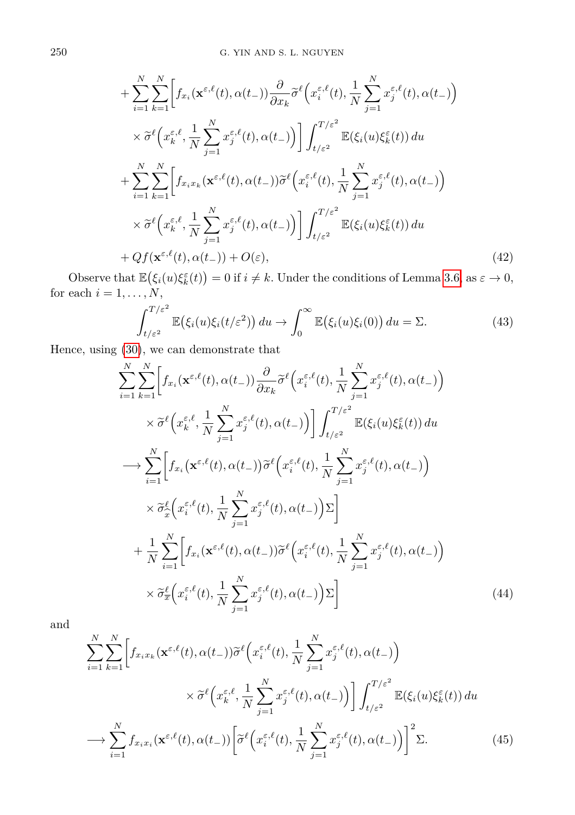$$
+\sum_{i=1}^{N} \sum_{k=1}^{N} \Biggl[ f_{x_i}(\mathbf{x}^{\varepsilon,\ell}(t),\alpha(t_{-})) \frac{\partial}{\partial x_k} \widetilde{\sigma}^{\ell} \Bigl( x_i^{\varepsilon,\ell}(t), \frac{1}{N} \sum_{j=1}^{N} x_j^{\varepsilon,\ell}(t), \alpha(t_{-}) \Bigr) \times \widetilde{\sigma}^{\ell} \Bigl( x_k^{\varepsilon,\ell}, \frac{1}{N} \sum_{j=1}^{N} x_j^{\varepsilon,\ell}(t), \alpha(t_{-}) \Bigr) \Biggr] \int_{t/\varepsilon^2}^{T/\varepsilon^2} \mathbb{E}(\xi_i(u)\xi_k^{\varepsilon}(t)) du + \sum_{i=1}^{N} \sum_{k=1}^{N} \Biggl[ f_{x_i x_k}(\mathbf{x}^{\varepsilon,\ell}(t),\alpha(t_{-})) \widetilde{\sigma}^{\ell} \Bigl( x_i^{\varepsilon,\ell}(t), \frac{1}{N} \sum_{j=1}^{N} x_j^{\varepsilon,\ell}(t), \alpha(t_{-}) \Bigr) \times \widetilde{\sigma}^{\ell} \Bigl( x_k^{\varepsilon,\ell}, \frac{1}{N} \sum_{j=1}^{N} x_j^{\varepsilon,\ell}(t), \alpha(t_{-}) \Bigr) \Biggr] \int_{t/\varepsilon^2}^{T/\varepsilon^2} \mathbb{E}(\xi_i(u)\xi_k^{\varepsilon}(t)) du + Qf(\mathbf{x}^{\varepsilon,\ell}(t),\alpha(t_{-})) + O(\varepsilon), \tag{42}
$$

Observe that  $\mathbb{E}(\xi_i(u)\xi_k^{\varepsilon}(t)) = 0$  if  $i \neq k$ . Under the conditions of Lemma [3.6,](#page-12-0) as  $\varepsilon \to 0$ , for each  $i = 1, \ldots, N$ ,

$$
\int_{t/\varepsilon^2}^{T/\varepsilon^2} \mathbb{E}(\xi_i(u)\xi_i(t/\varepsilon^2)) du \to \int_0^\infty \mathbb{E}(\xi_i(u)\xi_i(0)) du = \Sigma.
$$
 (43)

Hence, using [\(30\)](#page-13-0), we can demonstrate that

$$
\sum_{i=1}^{N} \sum_{k=1}^{N} \left[ f_{x_i}(\mathbf{x}^{\varepsilon,\ell}(t), \alpha(t_{-})) \frac{\partial}{\partial x_k} \tilde{\sigma}^{\ell} \left( x_i^{\varepsilon,\ell}(t), \frac{1}{N} \sum_{j=1}^{N} x_j^{\varepsilon,\ell}(t), \alpha(t_{-}) \right) \right] \times \tilde{\sigma}^{\ell} \left( x_k^{\varepsilon,\ell}, \frac{1}{N} \sum_{j=1}^{N} x_j^{\varepsilon,\ell}(t), \alpha(t_{-}) \right) \left[ \int_{t/\varepsilon^2}^{T/\varepsilon^2} \mathbb{E}(\xi_i(u)\xi_k^{\varepsilon}(t)) du \right] \longrightarrow \sum_{i=1}^{N} \left[ f_{x_i}(\mathbf{x}^{\varepsilon,\ell}(t), \alpha(t_{-})) \tilde{\sigma}^{\ell} \left( x_i^{\varepsilon,\ell}(t), \frac{1}{N} \sum_{j=1}^{N} x_j^{\varepsilon,\ell}(t), \alpha(t_{-}) \right) \right] \times \tilde{\sigma}_x^{\ell} \left( x_i^{\varepsilon,\ell}(t), \frac{1}{N} \sum_{j=1}^{N} x_j^{\varepsilon,\ell}(t), \alpha(t_{-}) \right) \Sigma \right] \n+ \frac{1}{N} \sum_{i=1}^{N} \left[ f_{x_i}(\mathbf{x}^{\varepsilon,\ell}(t), \alpha(t_{-})) \tilde{\sigma}^{\ell} \left( x_i^{\varepsilon,\ell}(t), \frac{1}{N} \sum_{j=1}^{N} x_j^{\varepsilon,\ell}(t), \alpha(t_{-}) \right) \right] \times \tilde{\sigma}_x^{\ell} \left( x_i^{\varepsilon,\ell}(t), \frac{1}{N} \sum_{j=1}^{N} x_j^{\varepsilon,\ell}(t), \alpha(t_{-}) \right) \Sigma \right] \tag{44}
$$

and

$$
\sum_{i=1}^{N} \sum_{k=1}^{N} \left[ f_{x_i x_k}(\mathbf{x}^{\varepsilon,\ell}(t), \alpha(t-)) \tilde{\sigma}^{\ell} \left( x_i^{\varepsilon,\ell}(t), \frac{1}{N} \sum_{j=1}^{N} x_j^{\varepsilon,\ell}(t), \alpha(t-) \right) \right]
$$

$$
\times \tilde{\sigma}^{\ell} \left( x_k^{\varepsilon,\ell}, \frac{1}{N} \sum_{j=1}^{N} x_j^{\varepsilon,\ell}(t), \alpha(t-) \right) \right] \int_{t/\varepsilon^2}^{T/\varepsilon^2} \mathbb{E}(\xi_i(u)\xi_k^{\varepsilon}(t)) du
$$

$$
\longrightarrow \sum_{i=1}^{N} f_{x_i x_i}(\mathbf{x}^{\varepsilon,\ell}(t), \alpha(t-)) \left[ \tilde{\sigma}^{\ell} \left( x_i^{\varepsilon,\ell}(t), \frac{1}{N} \sum_{j=1}^{N} x_j^{\varepsilon,\ell}(t), \alpha(t-) \right) \right]^2 \Sigma. \tag{45}
$$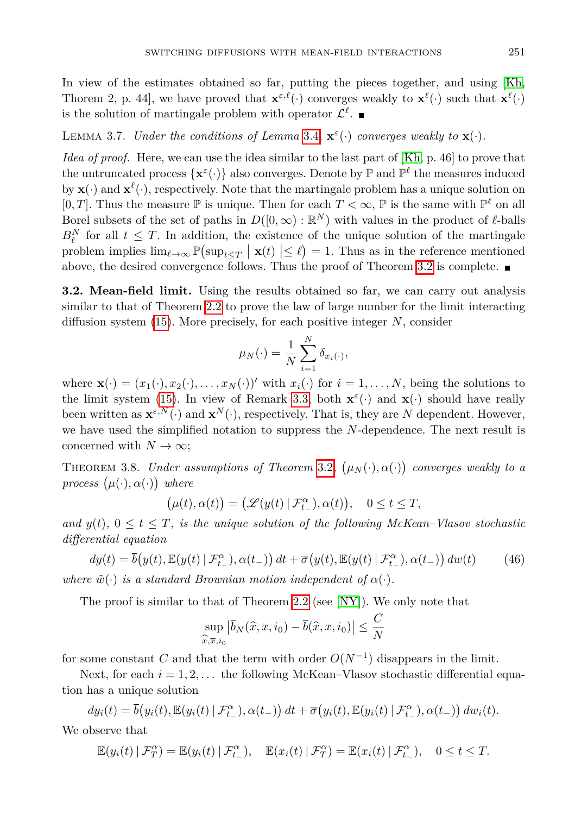In view of the estimates obtained so far, putting the pieces together, and using [\[Kh,](#page-20-14) Thorem 2, p. 44, we have proved that  $\mathbf{x}^{\varepsilon,\ell}(\cdot)$  converges weakly to  $\mathbf{x}^{\ell}(\cdot)$  such that  $\mathbf{x}^{\ell}(\cdot)$ is the solution of martingale problem with operator  $\mathcal{L}^{\ell}$ .

LEMMA 3.7. *Under the conditions of Lemma* [3.4](#page-10-0),  $\mathbf{x}^{\varepsilon}(\cdot)$  *converges weakly to*  $\mathbf{x}(\cdot)$ *.* 

*Idea of proof.* Here, we can use the idea similar to the last part of [\[Kh,](#page-20-14) p. 46] to prove that the untruncated process  $\{x^{\varepsilon}(\cdot)\}\$  also converges. Denote by  $\mathbb P$  and  $\mathbb P^{\ell}$  the measures induced by  $\mathbf{x}(\cdot)$  and  $\mathbf{x}^{\ell}(\cdot)$ , respectively. Note that the martingale problem has a unique solution on [0, *T*]. Thus the measure  $\mathbb P$  is unique. Then for each  $T < \infty$ ,  $\mathbb P$  is the same with  $\mathbb P^{\ell}$  on all Borel subsets of the set of paths in  $D([0,\infty): \mathbb{R}^N)$  with values in the product of  $\ell$ -balls  $B_{\ell}^N$  for all  $t \leq T$ . In addition, the existence of the unique solution of the martingale problem implies  $\lim_{\ell \to \infty} \mathbb{P} \left( \sup_{t \leq T} | \mathbf{x}(t) | \leq \ell \right) = 1$ . Thus as in the reference mentioned above, the desired convergence follows. Thus the proof of Theorem [3.2](#page-8-2) is complete.  $\blacksquare$ 

**3.2. Mean-field limit.** Using the results obtained so far, we can carry out analysis similar to that of Theorem [2.2](#page-4-1) to prove the law of large number for the limit interacting diffusion system [\(15\)](#page-8-0). More precisely, for each positive integer *N*, consider

$$
\mu_N(\cdot) = \frac{1}{N} \sum_{i=1}^N \delta_{x_i(\cdot)},
$$

where  $\mathbf{x}(\cdot) = (x_1(\cdot), x_2(\cdot), \dots, x_N(\cdot))'$  with  $x_i(\cdot)$  for  $i = 1, \dots, N$ , being the solutions to the limit system [\(15\)](#page-8-0). In view of Remark [3.3,](#page-8-3) both  $\mathbf{x}^{\varepsilon}(\cdot)$  and  $\mathbf{x}(\cdot)$  should have really been written as  $\mathbf{x}^{\varepsilon,N}(\cdot)$  and  $\mathbf{x}^N(\cdot)$ , respectively. That is, they are *N* dependent. However, we have used the simplified notation to suppress the *N*-dependence. The next result is concerned with  $N \to \infty$ ;

THEOREM 3.8. *Under assumptions of Theorem* [3.2](#page-8-2),  $(\mu_N(\cdot), \alpha(\cdot))$  converges weakly to a *process*  $(\mu(\cdot), \alpha(\cdot))$  *where* 

<span id="page-18-0"></span>
$$
\big(\mu(t),\alpha(t)\big)=\big(\mathscr{L}(y(t)\,|\,\mathcal{F}^\alpha_{t-}),\alpha(t)\big),\quad 0\leq t\leq T,
$$

*and*  $y(t)$ ,  $0 \le t \le T$ , *is the unique solution of the following McKean–Vlasov stochastic differential equation*

$$
dy(t) = \overline{b}(y(t), \mathbb{E}(y(t) | \mathcal{F}_{t-}^{\alpha}), \alpha(t-)) dt + \overline{\sigma}(y(t), \mathbb{E}(y(t) | \mathcal{F}_{t-}^{\alpha}), \alpha(t-)) dw(t)
$$
(46)

*where*  $\tilde{w}(\cdot)$  *is a standard Brownian motion independent of*  $\alpha(\cdot)$ *.* 

The proof is similar to that of Theorem [2.2](#page-4-1) (see [\[NY\]](#page-20-13)). We only note that

$$
\sup_{\widehat{x},\overline{x},i_0} |\overline{b}_N(\widehat{x},\overline{x},i_0) - \overline{b}(\widehat{x},\overline{x},i_0)| \leq \frac{C}{N}
$$

for some constant *C* and that the term with order  $O(N^{-1})$  disappears in the limit.

Next, for each  $i = 1, 2, \ldots$  the following McKean–Vlasov stochastic differential equation has a unique solution

$$
dy_i(t) = \overline{b}(y_i(t), \mathbb{E}(y_i(t) | \mathcal{F}_{t-}^{\alpha}), \alpha(t-)) dt + \overline{\sigma}(y_i(t), \mathbb{E}(y_i(t) | \mathcal{F}_{t-}^{\alpha}), \alpha(t-)) dw_i(t).
$$

We observe that

$$
\mathbb{E}(y_i(t) | \mathcal{F}_T^{\alpha}) = \mathbb{E}(y_i(t) | \mathcal{F}_{t-}^{\alpha}), \quad \mathbb{E}(x_i(t) | \mathcal{F}_T^{\alpha}) = \mathbb{E}(x_i(t) | \mathcal{F}_{t-}^{\alpha}), \quad 0 \le t \le T.
$$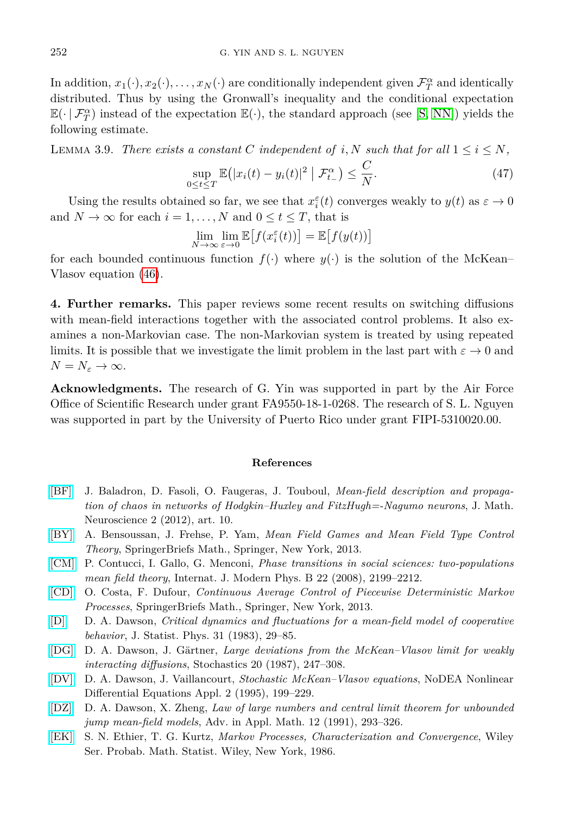In addition,  $x_1(\cdot), x_2(\cdot), \ldots, x_N(\cdot)$  are conditionally independent given  $\mathcal{F}_T^{\alpha}$  and identically distributed. Thus by using the Gronwall's inequality and the conditional expectation  $\mathbb{E}(\cdot | \mathcal{F}^{\alpha}_{T})$  instead of the expectation  $\mathbb{E}(\cdot)$ , the standard approach (see [\[S,](#page-20-6) [NN\]](#page-20-18)) yields the following estimate.

LEMMA 3.9. *There exists a constant C independent of*  $i, N$  *such that for all*  $1 \leq i \leq N$ *,* 

$$
\sup_{0 \le t \le T} \mathbb{E} \left( |x_i(t) - y_i(t)|^2 \middle| \mathcal{F}_{t-}^{\alpha} \right) \le \frac{C}{N}.
$$
\n(47)

Using the results obtained so far, we see that  $x_i^{\varepsilon}(t)$  converges weakly to  $y(t)$  as  $\varepsilon \to 0$ and  $N \to \infty$  for each  $i = 1, ..., N$  and  $0 \le t \le T$ , that is

$$
\lim_{N \to \infty} \lim_{\varepsilon \to 0} \mathbb{E}\big[f(x_i^{\varepsilon}(t))\big] = \mathbb{E}\big[f(y(t))\big]
$$

for each bounded continuous function  $f(\cdot)$  where  $y(\cdot)$  is the solution of the McKean– Vlasov equation [\(46\)](#page-18-0).

<span id="page-19-7"></span>**4. Further remarks.** This paper reviews some recent results on switching diffusions with mean-field interactions together with the associated control problems. It also examines a non-Markovian case. The non-Markovian system is treated by using repeated limits. It is possible that we investigate the limit problem in the last part with  $\varepsilon \to 0$  and  $N = N_{\varepsilon} \to \infty$ .

**Acknowledgments.** The research of G. Yin was supported in part by the Air Force Office of Scientific Research under grant FA9550-18-1-0268. The research of S. L. Nguyen was supported in part by the University of Puerto Rico under grant FIPI-5310020.00.

## **References**

- <span id="page-19-4"></span>[\[BF\]](http://dx.doi.org/10.1186/2190-8567-2-10) J. Baladron, D. Fasoli, O. Faugeras, J. Touboul, *Mean-field description and propagation of chaos in networks of Hodgkin–Huxley and FitzHugh=-Nagumo neurons*, J. Math. Neuroscience 2 (2012), art. 10.
- <span id="page-19-6"></span>[\[BY\]](http://dx.doi.org/10.1007/978-1-4614-8508-7) A. Bensoussan, J. Frehse, P. Yam, *Mean Field Games and Mean Field Type Control Theory*, SpringerBriefs Math., Springer, New York, 2013.
- <span id="page-19-5"></span>[\[CM\]](http://dx.doi.org/10.1142/S0217979208039423) P. Contucci, I. Gallo, G. Menconi, *Phase transitions in social sciences: two-populations mean field theory*, Internat. J. Modern Phys. B 22 (2008), 2199–2212.
- [\[CD\]](http://dx.doi.org/10.1007/978-1-4614-6983-4) O. Costa, F. Dufour, *Continuous Average Control of Piecewise Deterministic Markov Processes*, SpringerBriefs Math., Springer, New York, 2013.
- <span id="page-19-0"></span>[\[D\]](http://dx.doi.org/10.1007/BF01010922) D. A. Dawson, *Critical dynamics and fluctuations for a mean-field model of cooperative behavior*, J. Statist. Phys. 31 (1983), 29–85.
- <span id="page-19-1"></span>[\[DG\]](http://dx.doi.org/10.1080/17442508708833446) D. A. Dawson, J. Gärtner, *Large deviations from the McKean–Vlasov limit for weakly interacting diffusions*, Stochastics 20 (1987), 247–308.
- <span id="page-19-2"></span>[\[DV\]](http://dx.doi.org/10.1007/BF01295311) D. A. Dawson, J. Vaillancourt, *Stochastic McKean–Vlasov equations*, NoDEA Nonlinear Differential Equations Appl. 2 (1995), 199–229.
- <span id="page-19-3"></span>[\[DZ\]](http://dx.doi.org/10.1016/0196-8858(91)90015-B) D. A. Dawson, X. Zheng, *Law of large numbers and central limit theorem for unbounded jump mean-field models*, Adv. in Appl. Math. 12 (1991), 293–326.
- <span id="page-19-8"></span>[\[EK\]](http://dx.doi.org/10.1002/9780470316658) S. N. Ethier, T. G. Kurtz, *Markov Processes, Characterization and Convergence*, Wiley Ser. Probab. Math. Statist. Wiley, New York, 1986.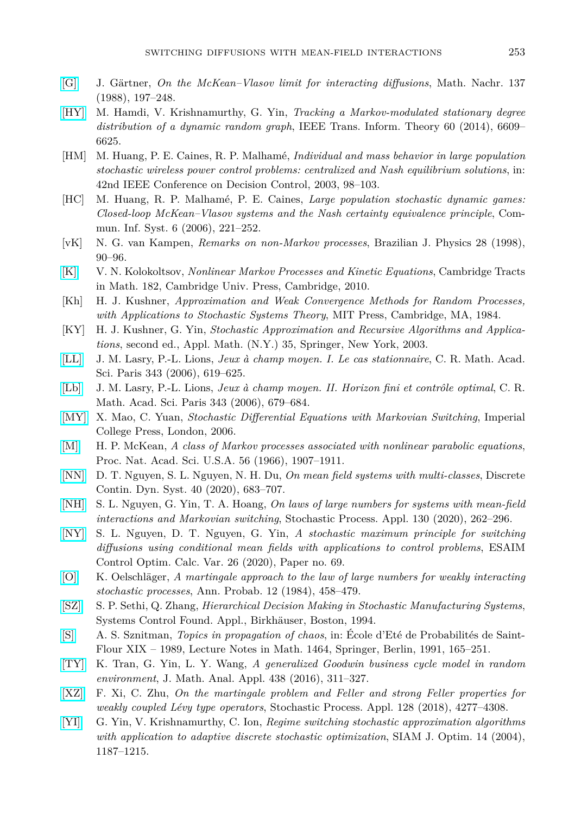- <span id="page-20-4"></span>[\[G\]](http://dx.doi.org/10.1002/mana.19881370116) J. Gärtner, *On the McKean–Vlasov limit for interacting diffusions*, Math. Nachr. 137 (1988), 197–248.
- <span id="page-20-1"></span>[\[HY\]](http://dx.doi.org/10.1109/TIT.2014.2346183) M. Hamdi, V. Krishnamurthy, G. Yin, *Tracking a Markov-modulated stationary degree distribution of a dynamic random graph*, IEEE Trans. Inform. Theory 60 (2014), 6609– 6625.
- <span id="page-20-7"></span>[HM] M. Huang, P. E. Caines, R. P. Malhamé, *Individual and mass behavior in large population stochastic wireless power control problems: centralized and Nash equilibrium solutions*, in: 42nd IEEE Conference on Decision Control, 2003, 98–103.
- <span id="page-20-8"></span>[HC] M. Huang, R. P. Malhamé, P. E. Caines, *Large population stochastic dynamic games: Closed-loop McKean–Vlasov systems and the Nash certainty equivalence principle*, Commun. Inf. Syst. 6 (2006), 221–252.
- <span id="page-20-15"></span>[vK] N. G. van Kampen, *Remarks on non-Markov processes*, Brazilian J. Physics 28 (1998), 90–96.
- <span id="page-20-11"></span>[\[K\]](http://dx.doi.org/10.1017/CBO9780511760303) V. N. Kolokoltsov, *Nonlinear Markov Processes and Kinetic Equations*, Cambridge Tracts in Math. 182, Cambridge Univ. Press, Cambridge, 2010.
- <span id="page-20-14"></span>[Kh] H. J. Kushner, *Approximation and Weak Convergence Methods for Random Processes, with Applications to Stochastic Systems Theory*, MIT Press, Cambridge, MA, 1984.
- <span id="page-20-17"></span>[KY] H. J. Kushner, G. Yin, *Stochastic Approximation and Recursive Algorithms and Applications*, second ed., Appl. Math. (N.Y.) 35, Springer, New York, 2003.
- <span id="page-20-9"></span>[\[LL\]](http://dx.doi.org/10.1016/j.crma.2006.09.019) J. M. Lasry, P.-L. Lions, *Jeux à champ moyen. I. Le cas stationnaire*, C. R. Math. Acad. Sci. Paris 343 (2006), 619–625.
- <span id="page-20-10"></span>[\[Lb\]](http://dx.doi.org/10.1016/j.crma.2006.09.018) J. M. Lasry, P.-L. Lions, *Jeux à champ moyen. II. Horizon fini et contrôle optimal*, C. R. Math. Acad. Sci. Paris 343 (2006), 679–684.
- <span id="page-20-0"></span>[\[MY\]](http://dx.doi.org/10.1142/p473) X. Mao, C. Yuan, *Stochastic Differential Equations with Markovian Switching*, Imperial College Press, London, 2006.
- [\[M\]](http://dx.doi.org/10.1073/pnas.56.6.1907) H. P. McKean, *A class of Markov processes associated with nonlinear parabolic equations*, Proc. Nat. Acad. Sci. U.S.A. 56 (1966), 1907–1911.
- <span id="page-20-18"></span>[\[NN\]](http://dx.doi.org/10.3934/dcds.2020057) D. T. Nguyen, S. L. Nguyen, N. H. Du, *On mean field systems with multi-classes*, Discrete Contin. Dyn. Syst. 40 (2020), 683–707.
- <span id="page-20-12"></span>[\[NH\]](http://dx.doi.org/10.1016/j.spa.2019.02.014) S. L. Nguyen, G. Yin, T. A. Hoang, *On laws of large numbers for systems with mean-field interactions and Markovian switching*, Stochastic Process. Appl. 130 (2020), 262–296.
- <span id="page-20-13"></span>[\[NY\]](http://dx.doi.org/10.1051/cocv/2019055) S. L. Nguyen, D. T. Nguyen, G. Yin, *A stochastic maximum principle for switching diffusions using conditional mean fields with applications to control problems*, ESAIM Control Optim. Calc. Var. 26 (2020), Paper no. 69.
- <span id="page-20-5"></span>[\[O\]](http://dx.doi.org/10.1214/aop/1176993301) K. Oelschläger, *A martingale approach to the law of large numbers for weakly interacting stochastic processes*, Ann. Probab. 12 (1984), 458–479.
- [\[SZ\]](http://dx.doi.org/10.1007/978-1-4612-0285-1) S. P. Sethi, Q. Zhang, *Hierarchical Decision Making in Stochastic Manufacturing Systems*, Systems Control Found. Appl., Birkhäuser, Boston, 1994.
- <span id="page-20-6"></span>[\[S\]](http://dx.doi.org/10.1007/BFb0085169) A. S. Sznitman, *Topics in propagation of chaos*, in: École d'Eté de Probabilités de Saint-Flour XIX – 1989, Lecture Notes in Math. 1464, Springer, Berlin, 1991, 165–251.
- <span id="page-20-2"></span>[\[TY\]](http://dx.doi.org/10.1016/j.jmaa.2016.02.006) K. Tran, G. Yin, L. Y. Wang, *A generalized Goodwin business cycle model in random environment*, J. Math. Anal. Appl. 438 (2016), 311–327.
- <span id="page-20-16"></span>[\[XZ\]](http://dx.doi.org/10.1016/j.spa.2018.02.005) F. Xi, C. Zhu, *On the martingale problem and Feller and strong Feller properties for weakly coupled Lévy type operators*, Stochastic Process. Appl. 128 (2018), 4277–4308.
- <span id="page-20-3"></span>[\[YI\]](http://dx.doi.org/10.1137/S1052623403423709) G. Yin, V. Krishnamurthy, C. Ion, *Regime switching stochastic approximation algorithms with application to adaptive discrete stochastic optimization*, SIAM J. Optim. 14 (2004), 1187–1215.